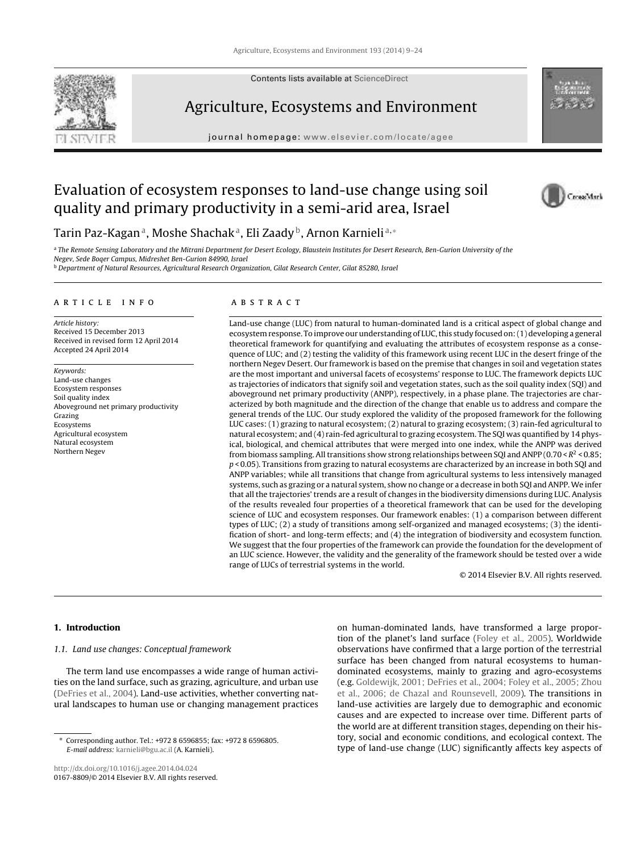Contents lists available at [ScienceDirect](http://www.sciencedirect.com/science/journal/01678809)



Agriculture, Ecosystems and Environment

journal homepage: [www.elsevier.com/locate/agee](http://www.elsevier.com/locate/agee)

# Evaluation of ecosystem responses to land-use change using soil quality and primary productivity in a semi-arid area, Israel



Tarin Paz-Kagan $^{\rm a}$ , Moshe Shachak $^{\rm a}$ , Eli Zaady $^{\rm b}$ , Arnon Karnieli $^{\rm a, *}$ 

a The Remote Sensing Laboratory and the Mitrani Department for Desert Ecology, Blaustein Institutes for Desert Research, Ben-Gurion University of the Negev, Sede Boqer Campus, Midreshet Ben-Gurion 84990, Israel

<sup>b</sup> Department of Natural Resources, Agricultural Research Organization, Gilat Research Center, Gilat 85280, Israel

#### a r t i c l e i n f o

Article history: Received 15 December 2013 Received in revised form 12 April 2014 Accepted 24 April 2014

Keywords: Land-use changes Ecosystem responses Soil quality index Aboveground net primary productivity Grazing Ecosystems Agricultural ecosystem Natural ecosystem Northern Negev

## A B S T R A C T

Land-use change (LUC) from natural to human-dominated land is a critical aspect of global change and ecosystem response. To improve our understanding of LUC, this study focused on: (1) developing a general theoretical framework for quantifying and evaluating the attributes of ecosystem response as a consequence of LUC; and (2) testing the validity of this framework using recent LUC in the desert fringe of the northern Negev Desert. Our framework is based on the premise that changes in soil and vegetation states are the most important and universal facets of ecosystems' response to LUC. The framework depicts LUC as trajectories of indicators that signify soil and vegetation states, such as the soil quality index (SQI) and aboveground net primary productivity (ANPP), respectively, in a phase plane. The trajectories are characterized by both magnitude and the direction of the change that enable us to address and compare the general trends of the LUC. Our study explored the validity of the proposed framework for the following LUC cases: (1) grazing to natural ecosystem; (2) natural to grazing ecosystem; (3) rain-fed agricultural to natural ecosystem; and (4) rain-fed agricultural to grazing ecosystem. The SQI was quantified by 14 physical, biological, and chemical attributes that were merged into one index, while the ANPP was derived from biomass sampling. All transitions show strong relationships between SQI and ANPP (0.70 <  $R^2$  < 0.85;  $p$  < 0.05). Transitions from grazing to natural ecosystems are characterized by an increase in both SQI and ANPP variables; while all transitions that change from agricultural systems to less intensively managed systems, such as grazing or a natural system, show no change or a decrease in both SQI and ANPP.We infer that all the trajectories' trends are a result of changes in the biodiversity dimensions during LUC. Analysis of the results revealed four properties of a theoretical framework that can be used for the developing science of LUC and ecosystem responses. Our framework enables: (1) a comparison between different types of LUC; (2) a study of transitions among self-organized and managed ecosystems; (3) the identification of short- and long-term effects; and (4) the integration of biodiversity and ecosystem function. We suggest that the four properties of the framework can provide the foundation for the development of an LUC science. However, the validity and the generality of the framework should be tested over a wide range of LUCs of terrestrial systems in the world.

© 2014 Elsevier B.V. All rights reserved.

## 1. Introduction

## 1.1. Land use changes: Conceptual framework

The term land use encompasses a wide range of human activities on the land surface, such as grazing, agriculture, and urban use ([DeFries](#page-13-0) et [al.,](#page-13-0) [2004\).](#page-13-0) Land-use activities, whether converting natural landscapes to human use or changing management practices

[http://dx.doi.org/10.1016/j.agee.2014.04.024](dx.doi.org/10.1016/j.agee.2014.04.024) 0167-8809/© 2014 Elsevier B.V. All rights reserved. on human-dominated lands, have transformed a large proportion of the planet's land surface ([Foley](#page-13-0) et [al.,](#page-13-0) [2005\).](#page-13-0) Worldwide observations have confirmed that a large portion of the terrestrial surface has been changed from natural ecosystems to humandominated ecosystems, mainly to grazing and agro-ecosystems (e.g. [Goldewijk,](#page-13-0) [2001;](#page-13-0) [DeFries](#page-13-0) et [al.,](#page-13-0) [2004;](#page-13-0) [Foley](#page-13-0) et [al.,](#page-13-0) [2005;](#page-13-0) [Zhou](#page-13-0) et [al.,](#page-13-0) [2006;](#page-13-0) [de](#page-13-0) [Chazal](#page-13-0) [and](#page-13-0) [Rounsevell,](#page-13-0) [2009\).](#page-13-0) The transitions in land-use activities are largely due to demographic and economic causes and are expected to increase over time. Different parts of the world are at different transition stages, depending on their history, social and economic conditions, and ecological context. The type of land-use change (LUC) significantly affects key aspects of

<sup>∗</sup> Corresponding author. Tel.: +972 8 6596855; fax: +972 8 6596805. E-mail address: [karnieli@bgu.ac.il](mailto:karnieli@bgu.ac.il) (A. Karnieli).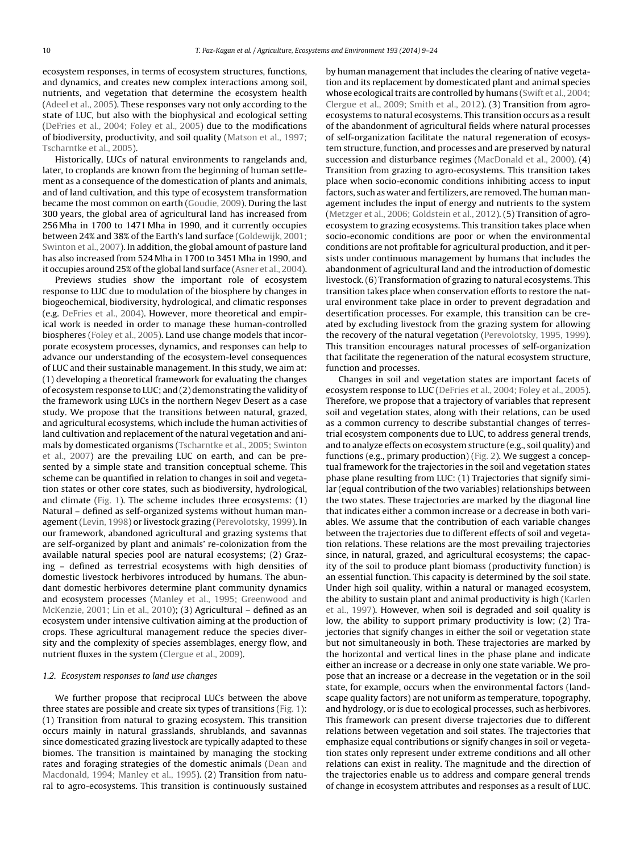ecosystem responses, in terms of ecosystem structures, functions, and dynamics, and creates new complex interactions among soil, nutrients, and vegetation that determine the ecosystem health ([Adeel](#page-13-0) et [al.,](#page-13-0) [2005\).](#page-13-0) These responses vary not only according to the state of LUC, but also with the biophysical and ecological setting ([DeFries](#page-13-0) et [al.,](#page-13-0) [2004;](#page-13-0) [Foley](#page-13-0) et [al.,](#page-13-0) [2005\)](#page-13-0) due to the modifications of biodiversity, productivity, and soil quality ([Matson](#page-14-0) et [al.,](#page-14-0) [1997;](#page-14-0) [Tscharntke](#page-14-0) et [al.,](#page-14-0) [2005\).](#page-14-0)

Historically, LUCs of natural environments to rangelands and, later, to croplands are known from the beginning of human settlement as a consequence of the domestication of plants and animals, and of land cultivation, and this type of ecosystem transformation became the most common on earth ([Goudie,](#page-13-0) [2009\).](#page-13-0) During the last 300 years, the global area of agricultural land has increased from 256 Mha in 1700 to 1471 Mha in 1990, and it currently occupies between 24% and 38% of the Earth's land surface ([Goldewijk,](#page-13-0) [2001;](#page-13-0) [Swinton](#page-13-0) et [al.,](#page-13-0) [2007\).](#page-13-0) In addition, the global amount of pasture land has also increased from 524 Mha in 1700 to 3451 Mha in 1990, and it occupies around 25% of the global land surface [\(Asner](#page-13-0) et [al.,](#page-13-0) [2004\).](#page-13-0)

Previews studies show the important role of ecosystem response to LUC due to modulation of the biosphere by changes in biogeochemical, biodiversity, hydrological, and climatic responses (e.g. [DeFries](#page-13-0) et [al.,](#page-13-0) [2004\).](#page-13-0) However, more theoretical and empirical work is needed in order to manage these human-controlled biospheres [\(Foley](#page-13-0) et [al.,](#page-13-0) [2005\).](#page-13-0) Land use change models that incorporate ecosystem processes, dynamics, and responses can help to advance our understanding of the ecosystem-level consequences of LUC and their sustainable management. In this study, we aim at: (1) developing a theoretical framework for evaluating the changes of ecosystem response to LUC; and (2) demonstrating the validity of the framework using LUCs in the northern Negev Desert as a case study. We propose that the transitions between natural, grazed, and agricultural ecosystems, which include the human activities of land cultivation and replacement of the natural vegetation and animals by domesticated organisms [\(Tscharntke](#page-14-0) et [al.,](#page-14-0) [2005;](#page-14-0) [Swinton](#page-14-0) et [al.,](#page-14-0) [2007\)](#page-14-0) are the prevailing LUC on earth, and can be presented by a simple state and transition conceptual scheme. This scheme can be quantified in relation to changes in soil and vegetation states or other core states, such as biodiversity, hydrological, and climate [\(Fig.](#page-2-0) 1). The scheme includes three ecosystems: (1) Natural – defined as self-organized systems without human management [\(Levin,](#page-14-0) [1998\)](#page-14-0) or livestock grazing [\(Perevolotsky,](#page-14-0) [1999\).](#page-14-0) In our framework, abandoned agricultural and grazing systems that are self-organized by plant and animals' re-colonization from the available natural species pool are natural ecosystems; (2) Grazing – defined as terrestrial ecosystems with high densities of domestic livestock herbivores introduced by humans. The abundant domestic herbivores determine plant community dynamics and ecosystem processes [\(Manley](#page-14-0) et [al.,](#page-14-0) [1995;](#page-14-0) [Greenwood](#page-14-0) [and](#page-14-0) [McKenzie,](#page-14-0) [2001;](#page-14-0) [Lin](#page-14-0) et [al.,](#page-14-0) [2010\);](#page-14-0) (3) Agricultural – defined as an ecosystem under intensive cultivation aiming at the production of crops. These agricultural management reduce the species diversity and the complexity of species assemblages, energy flow, and nutrient fluxes in the system ([Clergue](#page-13-0) et [al.,](#page-13-0) [2009\).](#page-13-0)

#### 1.2. Ecosystem responses to land use changes

We further propose that reciprocal LUCs between the above three states are possible and create six types of transitions ([Fig.](#page-2-0) 1): (1) Transition from natural to grazing ecosystem. This transition occurs mainly in natural grasslands, shrublands, and savannas since domesticated grazing livestock are typically adapted to these biomes. The transition is maintained by managing the stocking rates and foraging strategies of the domestic animals [\(Dean](#page-13-0) [and](#page-13-0) [Macdonald,](#page-13-0) [1994;](#page-13-0) [Manley](#page-13-0) et [al.,](#page-13-0) [1995\).](#page-13-0) (2) Transition from natural to agro-ecosystems. This transition is continuously sustained

by human management that includes the clearing of native vegetation and its replacement by domesticated plant and animal species whose ecological traits are controlled by humans ([Swift](#page-14-0) et [al.,](#page-14-0) [2004;](#page-14-0) [Clergue](#page-14-0) et [al.,](#page-14-0) [2009;](#page-14-0) [Smith](#page-14-0) et [al.,](#page-14-0) [2012\).](#page-14-0) (3) Transition from agroecosystems to natural ecosystems. This transition occurs as a result of the abandonment of agricultural fields where natural processes of self-organization facilitate the natural regeneration of ecosystem structure, function, and processes and are preserved by natural succession and disturbance regimes ([MacDonald](#page-14-0) et [al.,](#page-14-0) [2000\).](#page-14-0) (4) Transition from grazing to agro-ecosystems. This transition takes place when socio-economic conditions inhibiting access to input factors, such as water and fertilizers, are removed. The human management includes the input of energy and nutrients to the system [\(Metzger](#page-14-0) et [al.,](#page-14-0) [2006;](#page-14-0) [Goldstein](#page-14-0) et [al.,](#page-14-0) [2012\).](#page-14-0) (5) Transition of agroecosystem to grazing ecosystems. This transition takes place when socio-economic conditions are poor or when the environmental conditions are not profitable for agricultural production, and it persists under continuous management by humans that includes the abandonment of agricultural land and the introduction of domestic livestock. (6) Transformation of grazing to natural ecosystems. This transition takes place when conservation efforts to restore the natural environment take place in order to prevent degradation and desertification processes. For example, this transition can be created by excluding livestock from the grazing system for allowing the recovery of the natural vegetation ([Perevolotsky,](#page-14-0) [1995,](#page-14-0) [1999\).](#page-14-0) This transition encourages natural processes of self-organization that facilitate the regeneration of the natural ecosystem structure, function and processes.

Changes in soil and vegetation states are important facets of ecosystem response to LUC ([DeFries](#page-13-0) et [al.,](#page-13-0) [2004;](#page-13-0) [Foley](#page-13-0) et [al.,](#page-13-0) [2005\).](#page-13-0) Therefore, we propose that a trajectory of variables that represent soil and vegetation states, along with their relations, can be used as a common currency to describe substantial changes of terrestrial ecosystem components due to LUC, to address general trends, and to analyze effects on ecosystem structure (e.g., soil quality) and functions (e.g., primary production) ([Fig.](#page-2-0) 2). We suggest a conceptual framework for the trajectories in the soil and vegetation states phase plane resulting from LUC: (1) Trajectories that signify similar (equal contribution of the two variables) relationships between the two states. These trajectories are marked by the diagonal line that indicates either a common increase or a decrease in both variables. We assume that the contribution of each variable changes between the trajectories due to different effects of soil and vegetation relations. These relations are the most prevailing trajectories since, in natural, grazed, and agricultural ecosystems; the capacity of the soil to produce plant biomass (productivity function) is an essential function. This capacity is determined by the soil state. Under high soil quality, within a natural or managed ecosystem, the ability to sustain plant and animal productivity is high [\(Karlen](#page-14-0) et [al.,](#page-14-0) [1997\).](#page-14-0) However, when soil is degraded and soil quality is low, the ability to support primary productivity is low; (2) Trajectories that signify changes in either the soil or vegetation state but not simultaneously in both. These trajectories are marked by the horizontal and vertical lines in the phase plane and indicate either an increase or a decrease in only one state variable. We propose that an increase or a decrease in the vegetation or in the soil state, for example, occurs when the environmental factors (landscape quality factors) are not uniform as temperature, topography, and hydrology, or is due to ecological processes, such as herbivores. This framework can present diverse trajectories due to different relations between vegetation and soil states. The trajectories that emphasize equal contributions or signify changes in soil or vegetation states only represent under extreme conditions and all other relations can exist in reality. The magnitude and the direction of the trajectories enable us to address and compare general trends of change in ecosystem attributes and responses as a result of LUC.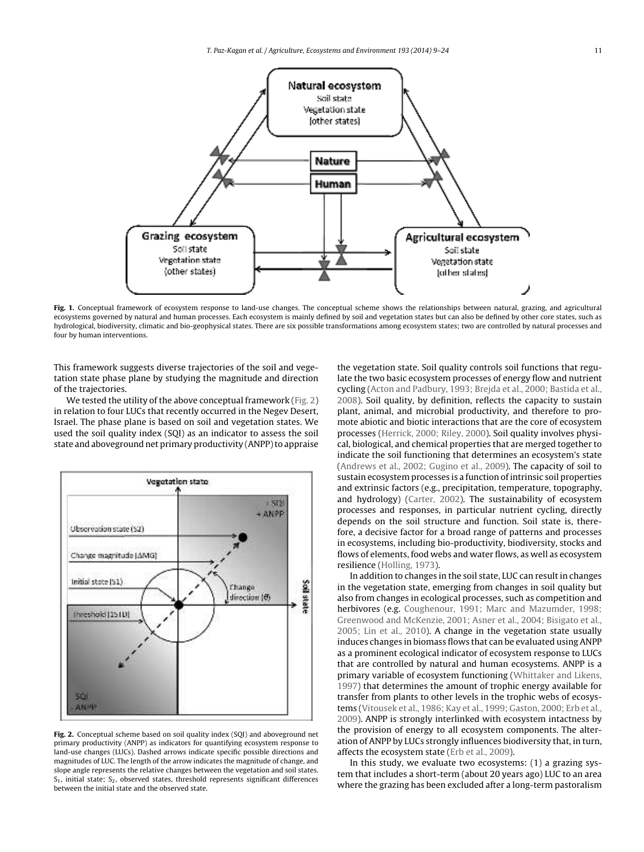<span id="page-2-0"></span>

Fig. 1. Conceptual framework of ecosystem response to land-use changes. The conceptual scheme shows the relationships between natural, grazing, and agricultural ecosystems governed by natural and human processes. Each ecosystem is mainly defined by soil and vegetation states but can also be defined by other core states, such as hydrological, biodiversity, climatic and bio-geophysical states. There are six possible transformations among ecosystem states; two are controlled by natural processes and four by human interventions.

This framework suggests diverse trajectories of the soil and vegetation state phase plane by studying the magnitude and direction of the trajectories.

We tested the utility of the above conceptual framework (Fig. 2) in relation to four LUCs that recently occurred in the Negev Desert, Israel. The phase plane is based on soil and vegetation states. We used the soil quality index (SQI) as an indicator to assess the soil state and aboveground net primary productivity (ANPP) to appraise



Fig. 2. Conceptual scheme based on soil quality index (SQI) and aboveground net primary productivity (ANPP) as indicators for quantifying ecosystem response to land-use changes (LUCs). Dashed arrows indicate specific possible directions and magnitudes of LUC. The length of the arrow indicates the magnitude of change, and slope angle represents the relative changes between the vegetation and soil states.  $S_1$ , initial state;  $S_2$ , observed states, threshold represents significant differences between the initial state and the observed state.

the vegetation state. Soil quality controls soil functions that regulate the two basic ecosystem processes of energy flow and nutrient cycling ([Acton](#page-13-0) [and](#page-13-0) [Padbury,](#page-13-0) [1993;](#page-13-0) [Brejda](#page-13-0) et [al.,](#page-13-0) [2000;](#page-13-0) [Bastida](#page-13-0) et [al.,](#page-13-0) [2008\).](#page-13-0) Soil quality, by definition, reflects the capacity to sustain plant, animal, and microbial productivity, and therefore to promote abiotic and biotic interactions that are the core of ecosystem processes [\(Herrick,](#page-13-0) [2000;](#page-13-0) [Riley,](#page-13-0) [2000\).](#page-13-0) Soil quality involves physical, biological, and chemical properties that are merged together to indicate the soil functioning that determines an ecosystem's state [\(Andrews](#page-13-0) et [al.,](#page-13-0) [2002;](#page-13-0) [Gugino](#page-13-0) et [al.,](#page-13-0) [2009\).](#page-13-0) The capacity of soil to sustain ecosystem processes is a function of intrinsic soil properties and extrinsic factors (e.g., precipitation, temperature, topography, and hydrology) ([Carter,](#page-13-0) [2002\).](#page-13-0) The sustainability of ecosystem processes and responses, in particular nutrient cycling, directly depends on the soil structure and function. Soil state is, therefore, a decisive factor for a broad range of patterns and processes in ecosystems, including bio-productivity, biodiversity, stocks and flows of elements, food webs and water flows, as well as ecosystem resilience ([Holling,](#page-13-0) [1973\).](#page-13-0)

In addition to changes in the soil state, LUC can result in changes in the vegetation state, emerging from changes in soil quality but also from changes in ecological processes, such as competition and herbivores (e.g. [Coughenour,](#page-13-0) [1991;](#page-13-0) [Marc](#page-13-0) [and](#page-13-0) [Mazumder,](#page-13-0) [1998;](#page-13-0) [Greenwood](#page-13-0) [and](#page-13-0) [McKenzie,](#page-13-0) [2001;](#page-13-0) [Asner](#page-13-0) et [al.,](#page-13-0) [2004;](#page-13-0) [Bisigato](#page-13-0) et [al.,](#page-13-0) [2005;](#page-13-0) [Lin](#page-13-0) et [al.,](#page-13-0) [2010\).](#page-13-0) A change in the vegetation state usually induces changes in biomass flows that can be evaluated using ANPP as a prominent ecological indicator of ecosystem response to LUCs that are controlled by natural and human ecosystems. ANPP is a primary variable of ecosystem functioning ([Whittaker](#page-15-0) [and](#page-15-0) [Likens,](#page-15-0) [1997\)](#page-15-0) that determines the amount of trophic energy available for transfer from plants to other levels in the trophic webs of ecosystems ([Vitousek](#page-15-0) et [al.,](#page-15-0) [1986;](#page-15-0) [Kay](#page-15-0) et [al.,](#page-15-0) [1999;](#page-15-0) [Gaston,](#page-15-0) [2000;](#page-15-0) [Erb](#page-15-0) et [al.,](#page-15-0) [2009\).](#page-15-0) ANPP is strongly interlinked with ecosystem intactness by the provision of energy to all ecosystem components. The alteration of ANPP by LUCs strongly influences biodiversity that, in turn, affects the ecosystem state ([Erb](#page-13-0) et [al.,](#page-13-0) [2009\).](#page-13-0)

In this study, we evaluate two ecosystems: (1) a grazing system that includes a short-term (about 20 years ago) LUC to an area where the grazing has been excluded after a long-term pastoralism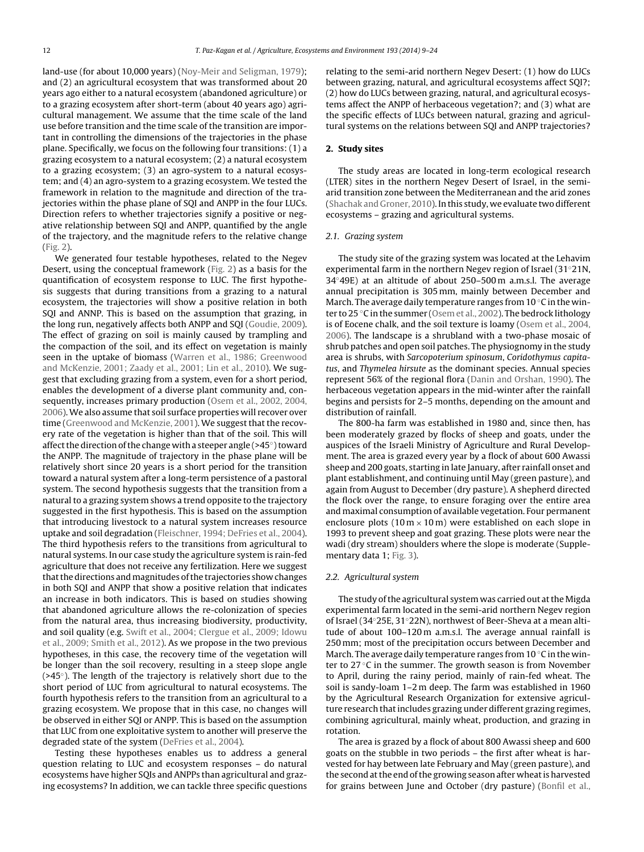land-use (for about 10,000 years) ([Noy-Meir](#page-14-0) [and](#page-14-0) [Seligman,](#page-14-0) [1979\);](#page-14-0) and (2) an agricultural ecosystem that was transformed about 20 years ago either to a natural ecosystem (abandoned agriculture) or to a grazing ecosystem after short-term (about 40 years ago) agricultural management. We assume that the time scale of the land use before transition and the time scale of the transition are important in controlling the dimensions of the trajectories in the phase plane. Specifically, we focus on the following four transitions: (1) a grazing ecosystem to a natural ecosystem; (2) a natural ecosystem to a grazing ecosystem; (3) an agro-system to a natural ecosystem; and (4) an agro-system to a grazing ecosystem. We tested the framework in relation to the magnitude and direction of the trajectories within the phase plane of SQI and ANPP in the four LUCs. Direction refers to whether trajectories signify a positive or negative relationship between SQI and ANPP, quantified by the angle of the trajectory, and the magnitude refers to the relative change ([Fig.](#page-2-0) 2).

We generated four testable hypotheses, related to the Negev Desert, using the conceptual framework [\(Fig.](#page-2-0) 2) as a basis for the quantification of ecosystem response to LUC. The first hypothesis suggests that during transitions from a grazing to a natural ecosystem, the trajectories will show a positive relation in both SQI and ANNP. This is based on the assumption that grazing, in the long run, negatively affects both ANPP and SQI [\(Goudie,](#page-13-0) [2009\).](#page-13-0) The effect of grazing on soil is mainly caused by trampling and the compaction of the soil, and its effect on vegetation is mainly seen in the uptake of biomass ([Warren](#page-15-0) et [al.,](#page-15-0) [1986;](#page-15-0) [Greenwood](#page-15-0) [and](#page-15-0) [McKenzie,](#page-15-0) [2001;](#page-15-0) [Zaady](#page-15-0) et [al.,](#page-15-0) [2001;](#page-15-0) [Lin](#page-15-0) et [al.,](#page-15-0) [2010\).](#page-15-0) We suggest that excluding grazing from a system, even for a short period, enables the development of a diverse plant community and, consequently, increases primary production [\(Osem](#page-14-0) et [al.,](#page-14-0) [2002,](#page-14-0) [2004,](#page-14-0) [2006\).](#page-14-0) We also assume that soil surface properties will recover over time [\(Greenwood](#page-13-0) [and](#page-13-0) [McKenzie,](#page-13-0) [2001\).](#page-13-0) We suggest that the recovery rate of the vegetation is higher than that of the soil. This will affect the direction of the change with a steeper angle (>45°) toward the ANPP. The magnitude of trajectory in the phase plane will be relatively short since 20 years is a short period for the transition toward a natural system after a long-term persistence of a pastoral system. The second hypothesis suggests that the transition from a natural to a grazing system shows a trend opposite to the trajectory suggested in the first hypothesis. This is based on the assumption that introducing livestock to a natural system increases resource uptake and soil degradation [\(Fleischner,](#page-13-0) [1994;](#page-13-0) [DeFries](#page-13-0) et [al.,](#page-13-0) [2004\).](#page-13-0) The third hypothesis refers to the transitions from agricultural to natural systems. In our case study the agriculture system is rain-fed agriculture that does not receive any fertilization. Here we suggest that the directions and magnitudes of the trajectories show changes in both SQI and ANPP that show a positive relation that indicates an increase in both indicators. This is based on studies showing that abandoned agriculture allows the re-colonization of species from the natural area, thus increasing biodiversity, productivity, and soil quality (e.g. [Swift](#page-14-0) et [al.,](#page-14-0) [2004;](#page-14-0) [Clergue](#page-14-0) et [al.,](#page-14-0) [2009;](#page-14-0) [Idowu](#page-14-0) et [al.,](#page-14-0) [2009;](#page-14-0) [Smith](#page-14-0) et [al.,](#page-14-0) [2012\).](#page-14-0) As we propose in the two previous hypotheses, in this case, the recovery time of the vegetation will be longer than the soil recovery, resulting in a steep slope angle (>45◦ ). The length of the trajectory is relatively short due to the short period of LUC from agricultural to natural ecosystems. The fourth hypothesis refers to the transition from an agricultural to a grazing ecosystem. We propose that in this case, no changes will be observed in either SQI or ANPP. This is based on the assumption that LUC from one exploitative system to another will preserve the degraded state of the system ([DeFries](#page-13-0) et [al.,](#page-13-0) [2004\).](#page-13-0)

Testing these hypotheses enables us to address a general question relating to LUC and ecosystem responses – do natural ecosystems have higher SQIs and ANPPs than agricultural and grazing ecosystems? In addition, we can tackle three specific questions relating to the semi-arid northern Negev Desert: (1) how do LUCs between grazing, natural, and agricultural ecosystems affect SQI?; (2) how do LUCs between grazing, natural, and agricultural ecosystems affect the ANPP of herbaceous vegetation?; and (3) what are the specific effects of LUCs between natural, grazing and agricultural systems on the relations between SQI and ANPP trajectories?

## 2. Study sites

The study areas are located in long-term ecological research (LTER) sites in the northern Negev Desert of Israel, in the semiarid transition zone between the Mediterranean and the arid zones [\(Shachak](#page-14-0) [and](#page-14-0) [Groner,](#page-14-0) [2010\).](#page-14-0) In this study, we evaluate two different ecosystems – grazing and agricultural systems.

#### 2.1. Grazing system

The study site of the grazing system was located at the Lehavim experimental farm in the northern Negev region of Israel (31◦21N, 34◦49E) at an altitude of about 250–500 m a.m.s.l. The average annual precipitation is 305 mm, mainly between December and March. The average daily temperature ranges from 10 ◦C in the winter to 25 ◦C in the summer [\(Osem](#page-14-0) et [al.,](#page-14-0) [2002\).](#page-14-0) The bedrock lithology is of Eocene chalk, and the soil texture is loamy ([Osem](#page-14-0) et [al.,](#page-14-0) [2004,](#page-14-0) [2006\).](#page-14-0) The landscape is a shrubland with a two-phase mosaic of shrub patches and open soil patches. The physiognomy in the study area is shrubs, with Sarcopoterium spinosum, Coridothymus capitatus, and Thymelea hirsute as the dominant species. Annual species represent 56% of the regional flora ([Danin](#page-13-0) [and](#page-13-0) [Orshan,](#page-13-0) [1990\).](#page-13-0) The herbaceous vegetation appears in the mid-winter after the rainfall begins and persists for 2–5 months, depending on the amount and distribution of rainfall.

The 800-ha farm was established in 1980 and, since then, has been moderately grazed by flocks of sheep and goats, under the auspices of the Israeli Ministry of Agriculture and Rural Development. The area is grazed every year by a flock of about 600 Awassi sheep and 200 goats, starting in late January, after rainfall onset and plant establishment, and continuing until May (green pasture), and again from August to December (dry pasture). A shepherd directed the flock over the range, to ensure foraging over the entire area and maximal consumption of available vegetation. Four permanent enclosure plots  $(10 \text{ m} \times 10 \text{ m})$  were established on each slope in 1993 to prevent sheep and goat grazing. These plots were near the wadi (dry stream) shoulders where the slope is moderate (Supple-mentary data 1; [Fig.](#page-4-0) 3).

#### 2.2. Agricultural system

The study of the agricultural system was carried out at the Migda experimental farm located in the semi-arid northern Negev region of Israel (34◦25E, 31◦22N), northwest of Beer-Sheva at a mean altitude of about 100–120 m a.m.s.l. The average annual rainfall is 250 mm; most of the precipitation occurs between December and March. The average daily temperature ranges from 10 ◦C in the winter to  $27^{\circ}$ C in the summer. The growth season is from November to April, during the rainy period, mainly of rain-fed wheat. The soil is sandy-loam 1–2 m deep. The farm was established in 1960 by the Agricultural Research Organization for extensive agriculture research that includes grazing under different grazing regimes, combining agricultural, mainly wheat, production, and grazing in rotation.

The area is grazed by a flock of about 800 Awassi sheep and 600 goats on the stubble in two periods – the first after wheat is harvested for hay between late February and May (green pasture), and the second at the end of the growing season after wheat is harvested for grains between June and October (dry pasture) [\(Bonfil](#page-13-0) et [al.,](#page-13-0)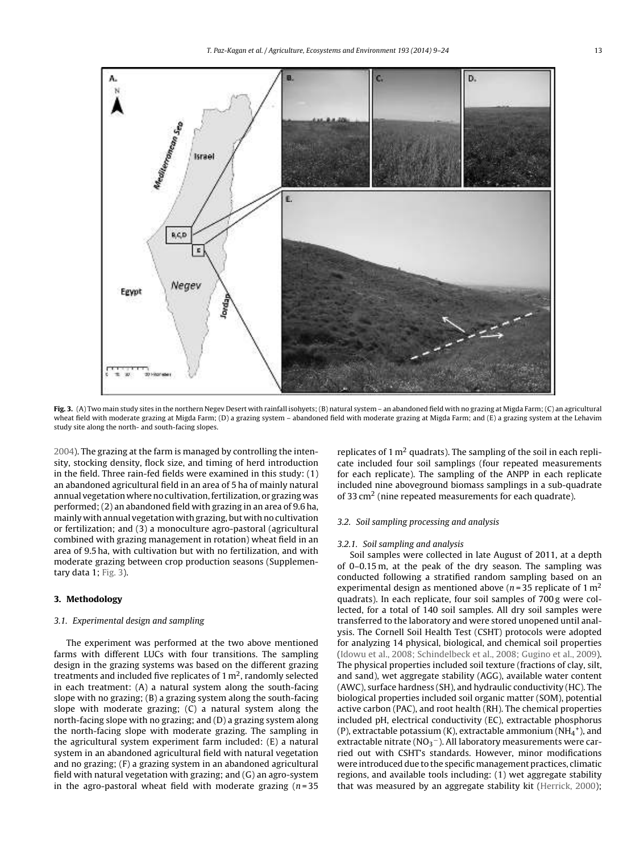<span id="page-4-0"></span>

Fig. 3. (A) Two main study sites in the northern Negev Desert with rainfall isohyets; (B) natural system - an abandoned field with no grazing at Migda Farm; (C) an agricultural wheat field with moderate grazing at Migda Farm; (D) a grazing system – abandoned field with moderate grazing at Migda Farm; and (E) a grazing system at the Lehavim study site along the north- and south-facing slopes.

[2004\).](#page-13-0) The grazing at the farm is managed by controlling the intensity, stocking density, flock size, and timing of herd introduction in the field. Three rain-fed fields were examined in this study: (1) an abandoned agricultural field in an area of 5 ha of mainly natural annual vegetation where no cultivation, fertilization, or grazing was performed; (2) an abandoned field with grazing in an area of 9.6 ha, mainly with annual vegetation with grazing, but with no cultivation or fertilization; and (3) a monoculture agro-pastoral (agricultural combined with grazing management in rotation) wheat field in an area of 9.5 ha, with cultivation but with no fertilization, and with moderate grazing between crop production seasons (Supplementary data 1; Fig. 3).

# 3. Methodology

## 3.1. Experimental design and sampling

The experiment was performed at the two above mentioned farms with different LUCs with four transitions. The sampling design in the grazing systems was based on the different grazing treatments and included five replicates of 1  $m<sup>2</sup>$ , randomly selected in each treatment: (A) a natural system along the south-facing slope with no grazing; (B) a grazing system along the south-facing slope with moderate grazing; (C) a natural system along the north-facing slope with no grazing; and (D) a grazing system along the north-facing slope with moderate grazing. The sampling in the agricultural system experiment farm included: (E) a natural system in an abandoned agricultural field with natural vegetation and no grazing; (F) a grazing system in an abandoned agricultural field with natural vegetation with grazing; and (G) an agro-system in the agro-pastoral wheat field with moderate grazing  $(n=35)$  replicates of 1  $m<sup>2</sup>$  quadrats). The sampling of the soil in each replicate included four soil samplings (four repeated measurements for each replicate). The sampling of the ANPP in each replicate included nine aboveground biomass samplings in a sub-quadrate of 33 cm<sup>2</sup> (nine repeated measurements for each quadrate).

## 3.2. Soil sampling processing and analysis

#### 3.2.1. Soil sampling and analysis

Soil samples were collected in late August of 2011, at a depth of 0–0.15 m, at the peak of the dry season. The sampling was conducted following a stratified random sampling based on an experimental design as mentioned above ( $n = 35$  replicate of 1 m<sup>2</sup> quadrats). In each replicate, four soil samples of 700 g were collected, for a total of 140 soil samples. All dry soil samples were transferred to the laboratory and were stored unopened until analysis. The Cornell Soil Health Test (CSHT) protocols were adopted for analyzing 14 physical, biological, and chemical soil properties [\(Idowu](#page-14-0) et [al.,](#page-14-0) [2008;](#page-14-0) [Schindelbeck](#page-14-0) et [al.,](#page-14-0) [2008;](#page-14-0) [Gugino](#page-14-0) et [al.,](#page-14-0) [2009\).](#page-14-0) The physical properties included soil texture (fractions of clay, silt, and sand), wet aggregate stability (AGG), available water content (AWC), surface hardness (SH), and hydraulic conductivity (HC). The biological properties included soil organic matter (SOM), potential active carbon (PAC), and root health (RH). The chemical properties included pH, electrical conductivity (EC), extractable phosphorus (P), extractable potassium (K), extractable ammonium (NH $_4$ <sup>+</sup>), and extractable nitrate ( $NO<sub>3</sub>$ ). All laboratory measurements were carried out with CSHT's standards. However, minor modifications were introduced due to the specific management practices, climatic regions, and available tools including: (1) wet aggregate stability that was measured by an aggregate stability kit [\(Herrick,](#page-13-0) [2000\);](#page-13-0)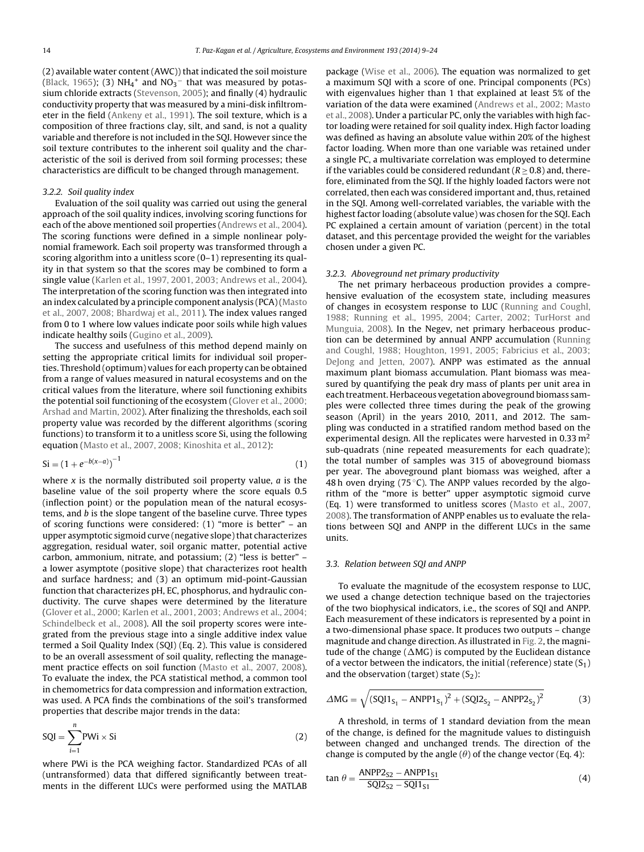<span id="page-5-0"></span>(2) available water content (AWC)) that indicated the soil moisture ([Black,](#page-13-0) [1965\);](#page-13-0) (3)  $NH_4^+$  and  $NO_3^-$  that was measured by potassium chloride extracts ([Stevenson,](#page-14-0) [2005\);](#page-14-0) and finally (4) hydraulic conductivity property that was measured by a mini-disk infiltrometer in the field ([Ankeny](#page-13-0) et [al.,](#page-13-0) [1991\).](#page-13-0) The soil texture, which is a composition of three fractions clay, silt, and sand, is not a quality variable and therefore is not included in the SQI. However since the soil texture contributes to the inherent soil quality and the characteristic of the soil is derived from soil forming processes; these characteristics are difficult to be changed through management.

#### 3.2.2. Soil quality index

Evaluation of the soil quality was carried out using the general approach of the soil quality indices, involving scoring functions for each of the above mentioned soil properties ([Andrews](#page-13-0) et [al.,](#page-13-0) [2004\).](#page-13-0) The scoring functions were defined in a simple nonlinear polynomial framework. Each soil property was transformed through a scoring algorithm into a unitless score (0–1) representing its quality in that system so that the scores may be combined to form a single value [\(Karlen](#page-14-0) et [al.,](#page-14-0) [1997,](#page-14-0) [2001,](#page-14-0) [2003;](#page-14-0) [Andrews](#page-14-0) et [al.,](#page-14-0) [2004\).](#page-14-0) The interpretation of the scoring function was then integrated into an index calculated by a principle component analysis (PCA)([Masto](#page-14-0) et [al.,](#page-14-0) [2007,](#page-14-0) [2008;](#page-14-0) [Bhardwaj](#page-14-0) et [al.,](#page-14-0) [2011\).](#page-14-0) The index values ranged from 0 to 1 where low values indicate poor soils while high values indicate healthy soils ([Gugino](#page-13-0) et [al.,](#page-13-0) [2009\).](#page-13-0)

The success and usefulness of this method depend mainly on setting the appropriate critical limits for individual soil properties. Threshold (optimum) values for each property can be obtained from a range of values measured in natural ecosystems and on the critical values from the literature, where soil functioning exhibits the potential soil functioning of the ecosystem [\(Glover](#page-13-0) et [al.,](#page-13-0) [2000;](#page-13-0) [Arshad](#page-13-0) [and](#page-13-0) [Martin,](#page-13-0) [2002\).](#page-13-0) After finalizing the thresholds, each soil property value was recorded by the different algorithms (scoring functions) to transform it to a unitless score Si, using the following equation ([Masto](#page-14-0) et [al.,](#page-14-0) [2007,](#page-14-0) [2008;](#page-14-0) [Kinoshita](#page-14-0) et [al.,](#page-14-0) [2012\):](#page-14-0)

$$
Si = (1 + e^{-b(x-a)})^{-1}
$$
 (1)

where  $x$  is the normally distributed soil property value,  $a$  is the baseline value of the soil property where the score equals 0.5 (inflection point) or the population mean of the natural ecosystems, and b is the slope tangent of the baseline curve. Three types of scoring functions were considered: (1) "more is better" – an upper asymptotic sigmoid curve (negative slope) that characterizes aggregation, residual water, soil organic matter, potential active carbon, ammonium, nitrate, and potassium; (2) "less is better" – a lower asymptote (positive slope) that characterizes root health and surface hardness; and (3) an optimum mid-point-Gaussian function that characterizes pH, EC, phosphorus, and hydraulic conductivity. The curve shapes were determined by the literature ([Glover](#page-13-0) et [al.,](#page-13-0) [2000;](#page-13-0) [Karlen](#page-13-0) et [al.,](#page-13-0) [2001,](#page-13-0) [2003;](#page-13-0) [Andrews](#page-13-0) et [al.,](#page-13-0) [2004;](#page-13-0) [Schindelbeck](#page-13-0) et [al.,](#page-13-0) [2008\).](#page-13-0) All the soil property scores were integrated from the previous stage into a single additive index value termed a Soil Quality Index (SQI) (Eq. 2). This value is considered to be an overall assessment of soil quality, reflecting the management practice effects on soil function [\(Masto](#page-14-0) et [al.,](#page-14-0) [2007,](#page-14-0) [2008\).](#page-14-0) To evaluate the index, the PCA statistical method, a common tool in chemometrics for data compression and information extraction, was used. A PCA finds the combinations of the soil's transformed properties that describe major trends in the data:

$$
SQL = \sum_{i=1}^{n} PWi \times Si
$$
 (2)

n

where PWi is the PCA weighing factor. Standardized PCAs of all (untransformed) data that differed significantly between treatments in the different LUCs were performed using the MATLAB

package [\(Wise](#page-15-0) et [al.,](#page-15-0) [2006\).](#page-15-0) The equation was normalized to get a maximum SQI with a score of one. Principal components (PCs) with eigenvalues higher than 1 that explained at least 5% of the variation of the data were examined [\(Andrews](#page-13-0) et [al.,](#page-13-0) [2002;](#page-13-0) [Masto](#page-13-0) et [al.,](#page-13-0) [2008\).](#page-13-0) Under a particular PC, only the variables with high factor loading were retained for soil quality index. High factor loading was defined as having an absolute value within 20% of the highest factor loading. When more than one variable was retained under a single PC, a multivariate correlation was employed to determine if the variables could be considered redundant  $(R > 0.8)$  and, therefore, eliminated from the SQI. If the highly loaded factors were not correlated, then each was considered important and, thus, retained in the SQI. Among well-correlated variables, the variable with the highest factor loading (absolute value) was chosen for the SQI. Each PC explained a certain amount of variation (percent) in the total dataset, and this percentage provided the weight for the variables chosen under a given PC.

#### 3.2.3. Aboveground net primary productivity

The net primary herbaceous production provides a comprehensive evaluation of the ecosystem state, including measures of changes in ecosystem response to LUC [\(Running](#page-14-0) [and](#page-14-0) [Coughl,](#page-14-0) [1988;](#page-14-0) [Running](#page-14-0) et [al.,](#page-14-0) [1995,](#page-14-0) [2004;](#page-14-0) [Carter,](#page-14-0) [2002;](#page-14-0) [TurHorst](#page-14-0) [and](#page-14-0) [Munguia,](#page-14-0) [2008\).](#page-14-0) In the Negev, net primary herbaceous production can be determined by annual ANPP accumulation ([Running](#page-14-0) [and](#page-14-0) [Coughl,](#page-14-0) [1988;](#page-14-0) [Houghton,](#page-14-0) [1991,](#page-14-0) [2005;](#page-14-0) [Fabricius](#page-14-0) et [al.,](#page-14-0) [2003;](#page-14-0) [DeJong](#page-14-0) [and](#page-14-0) [Jetten,](#page-14-0) [2007\).](#page-14-0) ANPP was estimated as the annual maximum plant biomass accumulation. Plant biomass was measured by quantifying the peak dry mass of plants per unit area in each treatment. Herbaceous vegetation aboveground biomass samples were collected three times during the peak of the growing season (April) in the years 2010, 2011, and 2012. The sampling was conducted in a stratified random method based on the experimental design. All the replicates were harvested in 0.33  $m<sup>2</sup>$ sub-quadrats (nine repeated measurements for each quadrate); the total number of samples was 315 of aboveground biomass per year. The aboveground plant biomass was weighed, after a 48 h oven drying (75 $\degree$ C). The ANPP values recorded by the algorithm of the "more is better" upper asymptotic sigmoid curve (Eq. 1) were transformed to unitless scores ([Masto](#page-14-0) et [al.,](#page-14-0) [2007,](#page-14-0) [2008\).](#page-14-0) The transformation of ANPP enables us to evaluate the relations between SQI and ANPP in the different LUCs in the same units.

#### 3.3. Relation between SQI and ANPP

To evaluate the magnitude of the ecosystem response to LUC, we used a change detection technique based on the trajectories of the two biophysical indicators, i.e., the scores of SQI and ANPP. Each measurement of these indicators is represented by a point in a two-dimensional phase space. It produces two outputs – change magnitude and change direction. As illustrated in [Fig.](#page-2-0) 2, the magnitude of the change ( $\Delta$ MG) is computed by the Euclidean distance of a vector between the indicators, the initial (reference) state  $(S_1)$ and the observation (target) state  $(S_2)$ :

$$
\Delta MG = \sqrt{(SQL1_{S_1} - ANDPI_{S_1})^2 + (SQL2_{S_2} - ANDP2_{S_2})^2}
$$
 (3)

A threshold, in terms of 1 standard deviation from the mean of the change, is defined for the magnitude values to distinguish between changed and unchanged trends. The direction of the change is computed by the angle  $(\theta)$  of the change vector (Eq. 4):

$$
\tan \theta = \frac{\text{ANPP2}_{S2} - \text{ANPP1}_{S1}}{\text{SQL}_{S2} - \text{SQL}_{S1}}
$$
(4)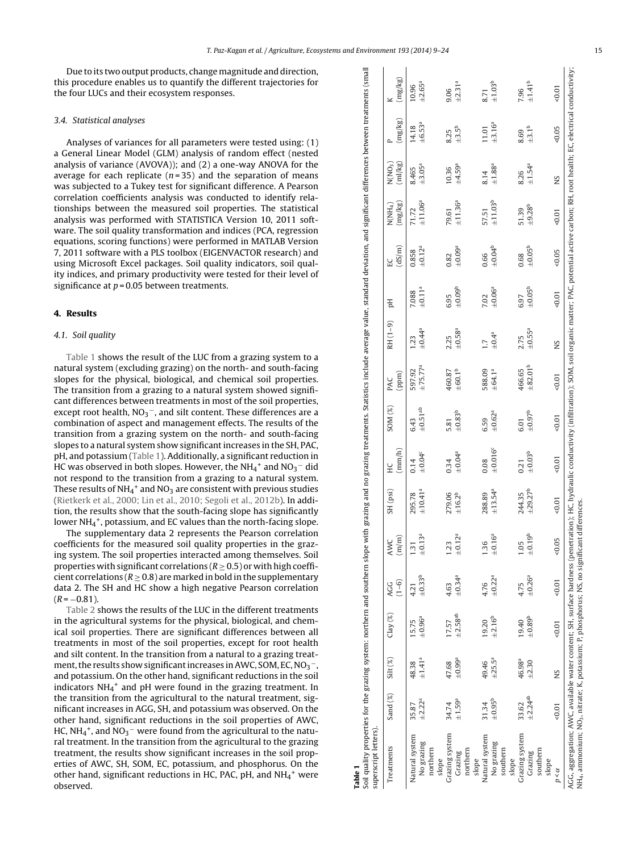<span id="page-6-0"></span>Due to its two output products, change magnitude and direction, this procedure enables us to quantify the different trajectories for the four LUCs and their ecosystem responses.

# 3.4. Statistical analyses

Analyses of variances for all parameters were tested using: (1) a General Linear Model (GLM) analysis of random effect (nested analysis of variance (AVOVA)); and (2) a one-way ANOVA for the average for each replicate ( $n = 35$ ) and the separation of means was subjected to a Tukey test for significant difference. A Pearson correlation coefficients analysis was conducted to identify relationships between the measured soil properties. The statistical analysis was performed with STATISTICA Version 10, 2011 software. The soil quality transformation and indices (PCA, regression equations, scoring functions) were performed in MATLAB Version 7, 2011 software with a PLS toolbox (EIGENVACTOR research) and using Microsoft Excel packages. Soil quality indicators, soil quality indices, and primary productivity were tested for their level of significance at  $p = 0.05$  between treatments.

## 4. Results

## 4.1. Soil quality

Table 1 shows the result of the LUC from a grazing system to a natural system (excluding grazing) on the north- and south-facing slopes for the physical, biological, and chemical soil properties. The transition from a grazing to a natural system showed significant differences between treatments in most of the soil properties, except root health,  $NO_3^-$ , and silt content. These differences are a combination of aspect and management effects. The results of the transition from a grazing system on the north- and south-facing slopes to a natural system show significant increases in the SH, PAC, pH, and potassium (Table 1). Additionally, a significant reduction in HC was observed in both slopes. However, the NH<sub>4</sub><sup>+</sup> and NO<sub>3</sub><sup>-</sup> did not respond to the transition from a grazing to a natural system. These results of NH $_4\mathrm{^+}$  and NO $_3$  are consistent with previous studies ([Rietkerk](#page-14-0) et [al.,](#page-14-0) [2000;](#page-14-0) [Lin](#page-14-0) et [al.,](#page-14-0) [2010;](#page-14-0) [Segoli](#page-14-0) et [al.,](#page-14-0) [2012b\).](#page-14-0) In addition, the results show that the south-facing slope has significantly lower NH<sup>4</sup> + , potassium, and EC values than the north-facing slope.

The supplementary data 2 represents the Pearson correlation coefficients for the measured soil quality properties in the grazing system. The soil properties interacted among themselves. Soil properties with significant correlations ( $R \ge 0.5$ ) or with high coefficient correlations ( $R \ge 0.8$ ) are marked in bold in the supplementary data 2. The SH and HC show a high negative Pearson correlation  $(R = -0.81)$ .

[Table](#page-7-0) 2 shows the results of the LUC in the different treatments in the agricultural systems for the physical, biological, and chemical soil properties. There are significant differences between all treatments in most of the soil properties, except for root health and silt content. In the transition from a natural to a grazing treatment, the results show significant increases in AWC, SOM, EC,  $NO_3^-$ , and potassium. On the other hand, significant reductions in the soil indicators NH<sub>4</sub><sup>+</sup> and pH were found in the grazing treatment. In the transition from the agricultural to the natural treatment, significant increases in AGG, SH, and potassium was observed. On the other hand, significant reductions in the soil properties of AWC, HC, NH<sub>4</sub><sup>+</sup>, and NO<sub>3</sub><sup>-</sup> were found from the agricultural to the natural treatment. In the transition from the agricultural to the grazing treatment, the results show significant increases in the soil properties of AWC, SH, SOM, EC, potassium, and phosphorus. On the other hand, significant reductions in HC, PAC, pH, and  $NH_4$ <sup>+</sup> were observed.

| Silt(%)<br>$\pm$ 1.41 <sup>a</sup><br>48.38<br>Sand <sub>(%)</sub><br>±2.22 <sup>a</sup><br>35.87<br>Natural system<br>No grazing<br>Treatments |                          |                       |                         |                     |                         |                          |                     |                         |                            |                            |                                |                                |                        |                         |
|-------------------------------------------------------------------------------------------------------------------------------------------------|--------------------------|-----------------------|-------------------------|---------------------|-------------------------|--------------------------|---------------------|-------------------------|----------------------------|----------------------------|--------------------------------|--------------------------------|------------------------|-------------------------|
|                                                                                                                                                 | Clay(%)                  | $(1 - 6)$<br>AGG      | (m/m)<br>AWC            | SH (psi)            | (mm/h)<br>HC            | SOM (%)                  | (ppm)<br>PAC        | RH (1-9)                | Fld                        | (dS/m)<br>EC               | (mg/kg)<br>N(NH <sub>4</sub> ) | (m1/kg)<br>N(NO <sub>3</sub> ) | (mg/kg)                | (mg/kg)                 |
|                                                                                                                                                 | 15.75                    | 4.21                  | $\overline{131}$        | 295.78              | 0.14                    | 6.43                     | 597.92              | 23                      | 7,088                      | 0.858                      | 71.72                          | 8.465                          | 14.18                  | 10.96                   |
| northern                                                                                                                                        | ±0.96 <sup>a</sup>       | $\pm 0.33^{b}$        | $\pm 0.13$ <sup>a</sup> | ±10.41 <sup>a</sup> | $_{+0.04}$              | $\pm 0.51$ <sup>ab</sup> | ±75.77 <sup>a</sup> | $\pm 0.44$ <sup>a</sup> | $\pm$ 0.11 <sup>a</sup>    | $\pm 0.12^a$               | ±11.06 <sup>a</sup>            | ±3.05 <sup>a</sup>             | ±6.53 <sup>a</sup>     | $\pm 2.65$ <sup>a</sup> |
| slope                                                                                                                                           |                          |                       |                         |                     |                         |                          |                     |                         |                            |                            |                                |                                |                        |                         |
| 47.68<br>34.74<br>Grazing system                                                                                                                | 17.57                    | 4.63                  | 1.23                    | 279.06              | 0.34                    | 5.81                     | 460.87              | 2.25                    | 6.95                       | 0.82                       | 79.61                          | 10.36                          | 8.25                   | 9.06                    |
| ±0.99a<br>$\pm 1.59$ <sup>a</sup><br>northern<br>Grazing                                                                                        | $\pm 2.58$ <sup>ab</sup> | $\pm 0.34^a$          | $\pm 0.12^a$            | ±16.2 <sup>b</sup>  | $\pm 0.04$ <sup>a</sup> | $\pm 0.83b$              | ±60.1 <sup>b</sup>  | ±0.58 <sup>a</sup>      | $\pm 0.09^{\rm b}$         | $_{\pm 0.09}$ <sup>a</sup> | ±11.36 <sup>a</sup>            | $\pm 4.59$ <sup>a</sup>        | $\pm 3.5^{\mathrm{b}}$ | ±2.31 <sup>a</sup>      |
| 49.46<br>31.34<br>Natural system<br>slope                                                                                                       | 19.20                    | 4.76                  | 1.36                    | 288.89              | 0.08                    | 6.59                     | 588.09              | r.                      | 7.02                       | 0.66                       | 57.51                          | 8.14                           | 11.01                  | 8.71                    |
| ±25.5 <sup>a</sup><br>$\pm 0.95^{\mathrm{b}}$<br>No grazing                                                                                     | $\pm 2.16^{\circ}$       | $\pm 0.22^{\rm a}$    | G<br>$\pm 0.1$          | ±13.54 <sup>a</sup> | $\pm 0.016$             | ±0.62 <sup>a</sup>       | ±64.1 <sup>a</sup>  | $\pm 0.4$ <sup>a</sup>  | $_{\pm 0.06^{\mathrm{a}}}$ | ±0.04 <sup>b</sup>         | $\pm$ 11.03 <sup>b</sup>       | $\pm 1.88$ <sup>a</sup>        | ±3.16 <sup>a</sup>     | ±1.03 <sup>b</sup>      |
| southern<br>slope                                                                                                                               |                          |                       |                         |                     |                         |                          |                     |                         |                            |                            |                                |                                |                        |                         |
| 46.98ª<br>33.62<br>Grazing system                                                                                                               | 19.40                    | 4.75                  | 1.05                    | 244.35              | 0.21                    | 6.01                     | 466.65              | 2.75                    | 6.97                       | 0.68                       | 51.39                          | 8.26                           | 8.69                   | 7.96                    |
| ±2.30<br>$\pm 2.24$ <sup>ab</sup><br>Grazing                                                                                                    | $\pm 0.89^{\mathrm{b}}$  | $_{\pm 0.26^{\circ}}$ | ჭ<br>$\pm 0.1$          | ±29.27 <sup>b</sup> | $\pm 0.03^{\mathrm{b}}$ | $\pm 0.97^{\rm b}$       | $\pm 82.01^{b}$     | ±0.55 <sup>a</sup>      | $\pm 0.05^{\circ}$         | ±0.05 <sup>b</sup>         | $\pm 9.28^{b}$                 | ±1.54 <sup>a</sup>             | $\pm 3.1^{\mathrm{b}}$ | ±1.41 <sup>b</sup>      |
| southern<br>slope                                                                                                                               |                          |                       |                         |                     |                         |                          |                     |                         |                            |                            |                                |                                |                        |                         |
| <b>S</b><br>$-0.01$<br>$p < \alpha$                                                                                                             | 0.01                     | 50.01                 | $-0.05$                 | 50.01               | 50.01                   | 50.01                    | 50.01               | SN                      | 50.01                      | 0.05                       | 50.01                          | <b>SN</b>                      | 0.05                   | $-0.01$                 |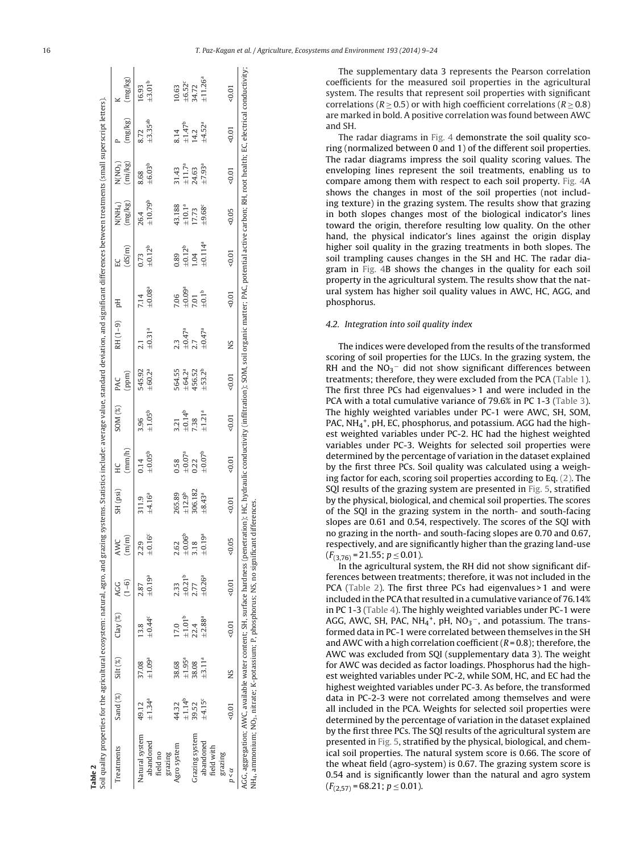<span id="page-7-0"></span>

| Treatments                              | Sand (%)                    | Silt(%)                          | $\text{Clay}\left(\%\right)$    | $(1 - 6)$<br>AGG           | AWC<br>$\frac{m(m)}{m}$         | SH (psi)                            | m m/h<br>$\exists$              | SOM(%)                     | (ppm)<br>DAC                 | RH (1-9)                         | ЪH                             | (dS/m)<br>닢                     | mg/kg)<br>N(NH <sub>4</sub>                    | (mi/kg)<br>V(NO3                            | mg/kg)                           | mg/kg                       |
|-----------------------------------------|-----------------------------|----------------------------------|---------------------------------|----------------------------|---------------------------------|-------------------------------------|---------------------------------|----------------------------|------------------------------|----------------------------------|--------------------------------|---------------------------------|------------------------------------------------|---------------------------------------------|----------------------------------|-----------------------------|
| Natural system<br>abandoned<br>field no | ±1.34 <sup>a</sup><br>49.12 | $\pm 1.09$ <sup>a</sup><br>37.08 | $\pm 0.44^c$<br>13.8            | ±0.19 <sup>a</sup><br>2.87 | $\pm 0.16^{\circ}$<br>2.29      | ±4.16 <sup>a</sup><br>311.9         | $\pm 0.05^{\mathrm{b}}$<br>0.14 | ±1.05 <sup>b</sup><br>3.96 | ±60.2 <sup>a</sup><br>545.92 | $\pm 0.31$ <sup>a</sup>          | $\pm 0.08^\mathrm{a}$<br>7.14  | $\pm 0.12$ <sup>t</sup><br>0.73 | ±10.79 <sup>b</sup><br>26.4                    | $\pm 6.03b$<br>8.68                         | $\pm 3.35$ <sup>ab</sup><br>8.72 | ±3.01 <sup>b</sup><br>16.93 |
| Agro system<br>grazing                  | 44.32                       | 38.68                            | 17.0                            | 2.33                       | 2.62                            | $265.89$<br>$\pm 12.9$ <sup>b</sup> | 0.58                            | 3.21                       | 564.55<br>±64.2ª             | 2.3                              | $7.06$<br>$+0.09$ <sup>a</sup> | 0.89                            |                                                |                                             | 8.14                             | 10.63                       |
| Grazing system                          | $\pm 1.14^b$<br>39.52       | $\pm 1.95$ <sup>a</sup><br>38.08 | $\pm 1.01^{\mathrm{b}}$<br>22.4 | $\pm 0.21^{\rm b}$<br>2.77 | $\pm 0.06^{\mathrm{b}}$<br>3.18 | 306.182                             | $\pm 0.07^{\rm a}$<br>0.22      | $\pm 0.14^{b}$<br>7.38     | 456.52                       | $_{2.7}^{\pm 0.47^{\mathrm{a}}}$ | 7.01                           | $\pm 0.12^{b}$<br>1.04          | $43.188$<br>$\pm 10.1$ <sup>a</sup><br>$17.73$ | $31.43$<br>$\pm 11.7$ <sup>a</sup><br>24.63 | $\pm 1.47^{\rm b}$<br>14.2       | $\pm 6.52^c$<br>34.72       |
| abandoned<br>field with                 | $\pm 4.15$ <sup>c</sup>     | $\pm$ 3.11 <sup>a</sup>          | ±2.88 <sup>a</sup>              | $\pm 0.26^{\rm a}$         | $\pm 0.19$ <sup>a</sup>         | $\pm 8.43^{\rm a}$                  | $_{\pm 0.07^{\mathrm{b}}}$      | $\pm$ 1.21 <sup>a</sup>    | ±53.2 <sup>b</sup>           | ±0.47 <sup>a</sup>               | $\pm 0.1$ <sup>b</sup>         | $\pm 0.114$ <sup>a</sup>        | ±9.68 <sup>c</sup>                             | ±7.93 <sup>a</sup>                          | ±4.52 <sup>a</sup>               | ±11.26 <sup>a</sup>         |
| grazing<br>$p < \alpha$                 | $-0.01$                     | <b>NS</b>                        | $-0.01$                         | 50.01                      | $-0.05$                         | 50.01                               | 50.01                           | 50.01                      | 50.01                        | š                                | 50.01                          | 50.01                           | 0.05                                           | 0.01                                        | 50.01                            | 50.01                       |

The supplementary data 3 represents the Pearson correlation coefficients for the measured soil properties in the agricultural system. The results that represent soil properties with significant correlations ( $R \ge 0.5$ ) or with high coefficient correlations ( $R \ge 0.8$ ) are marked in bold. A positive correlation was found between AWC and SH.

The radar diagrams in [Fig.](#page-8-0) 4 demonstrate the soil quality scoring (normalized between 0 and 1) of the different soil properties. The radar diagrams impress the soil quality scoring values. The enveloping lines represent the soil treatments, enabling us to compare among them with respect to each soil property. [Fig.](#page-8-0) 4A shows the changes in most of the soil properties (not including texture) in the grazing system. The results show that grazing in both slopes changes most of the biological indicator's lines toward the origin, therefore resulting low quality. On the other hand, the physical indicator's lines against the origin display higher soil quality in the grazing treatments in both slopes. The soil trampling causes changes in the SH and HC. The radar diagram in [Fig.](#page-8-0) 4B shows the changes in the quality for each soil property in the agricultural system. The results show that the natural system has higher soil quality values in AWC, HC, AGG, and phosphorus.

#### 4.2. Integration into soil quality index

The indices were developed from the results of the transformed scoring of soil properties for the LUCs. In the grazing system, the RH and the  $NO<sub>3</sub>$ <sup>-</sup> did not show significant differences between treatments; therefore, they were excluded from the PCA ([Table](#page-6-0) 1). The first three PCs had eigenvalues > 1 and were included in the PCA with a total cumulative variance of 79.6% in PC 1-3 [\(Table](#page-8-0) 3). The highly weighted variables under PC-1 were AWC, SH, SOM, PAC, NH<sub>4</sub><sup>+</sup>, pH, EC, phosphorus, and potassium. AGG had the highest weighted variables under PC-2. HC had the highest weighted variables under PC-3. Weights for selected soil properties were determined by the percentage of variation in the dataset explained by the first three PCs. Soil quality was calculated using a weighing factor for each, scoring soil properties according to Eq. [\(2\).](#page-5-0) The SQI results of the grazing system are presented in [Fig.](#page-9-0) 5, stratified by the physical, biological, and chemical soil properties. The scores of the SQI in the grazing system in the north- and south-facing slopes are 0.61 and 0.54, respectively. The scores of the SQI with no grazing in the north- and south-facing slopes are 0.70 and 0.67, respectively, and are significantly higher than the grazing land-use  $(F_{(3,76)} = 21.55; p \le 0.01).$ 

In the agricultural system, the RH did not show significant differences between treatments; therefore, it was not included in the PCA (Table 2). The first three PCs had eigenvalues > 1 and were included in the PCA that resulted in a cumulative variance of 76.14% in PC 1-3 [\(Table](#page-8-0) 4). The highly weighted variables under PC-1 were AGG, AWC, SH, PAC,  $NH_4^+$ , pH,  $NO_3^-$ , and potassium. The transformed data in PC-1 were correlated between themselves in the SH and AWC with a high correlation coefficient  $(R = 0.8)$ ; therefore, the AWC was excluded from SQI (supplementary data 3). The weight for AWC was decided as factor loadings. Phosphorus had the highest weighted variables under PC-2, while SOM, HC, and EC had the highest weighted variables under PC-3. As before, the transformed data in PC-2-3 were not correlated among themselves and were all included in the PCA. Weights for selected soil properties were determined by the percentage of variation in the dataset explained by the first three PCs. The SQI results of the agricultural system are presented in [Fig.](#page-9-0) 5, stratified by the physical, biological, and chemical soil properties. The natural system score is 0.66. The score of the wheat field (agro-system) is 0.67. The grazing system score is 0.54 and is significantly lower than the natural and agro system  $(F_{(2,57)} = 68.21; p \le 0.01).$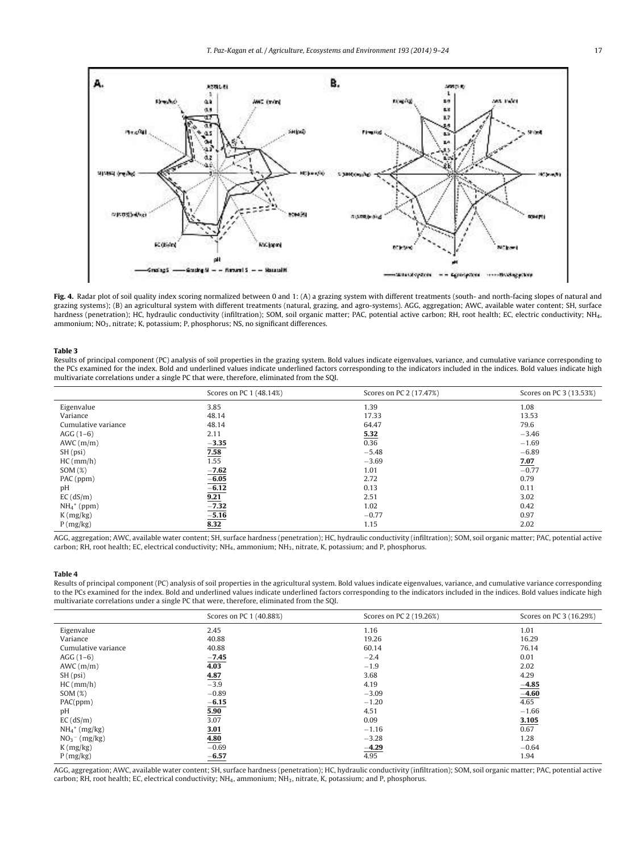<span id="page-8-0"></span>

Fig. 4. Radar plot of soil quality index scoring normalized between 0 and 1: (A) a grazing system with different treatments (south- and north-facing slopes of natural and grazing systems); (B) an agricultural system with different treatments (natural, grazing, and agro-systems). AGG, aggregation; AWC, available water content; SH, surface hardness (penetration); HC, hydraulic conductivity (infiltration); SOM, soil organic matter; PAC, potential active carbon; RH, root health; EC, electric conductivity; NH<sub>4</sub>, ammonium; NO<sub>3</sub>, nitrate; K, potassium; P, phosphorus; NS, no significant differences.

## Table 3

Results of principal component (PC) analysis of soil properties in the grazing system. Bold values indicate eigenvalues, variance, and cumulative variance corresponding to the PCs examined for the index. Bold and underlined values indicate underlined factors corresponding to the indicators included in the indices. Bold values indicate high multivariate correlations under a single PC that were, therefore, eliminated from the SQI.

|                           | Scores on PC 1 (48.14%)                                                               | Scores on PC 2 (17.47%) | Scores on PC 3 (13.53%) |
|---------------------------|---------------------------------------------------------------------------------------|-------------------------|-------------------------|
| Eigenvalue                | 3.85                                                                                  | 1.39                    | 1.08                    |
| Variance                  | 48.14                                                                                 | 17.33                   | 13.53                   |
| Cumulative variance       | 48.14                                                                                 | 64.47                   | 79.6                    |
| $AGG(1-6)$                | 2.11                                                                                  | 5.32                    | $-3.46$                 |
| AWC(m/m)                  | $-3.35$                                                                               | 0.36                    | $-1.69$                 |
| SH (psi)                  | 7.58                                                                                  | $-5.48$                 | $-6.89$                 |
| HC(mm/h)                  | 1.55                                                                                  | $-3.69$                 | 7.07                    |
| SOM(%)                    |                                                                                       | 1.01                    | $-0.77$                 |
| PAC (ppm)                 |                                                                                       | 2.72                    | 0.79                    |
| pH                        |                                                                                       | 0.13                    | 0.11                    |
| $EC$ (dS/m)               |                                                                                       | 2.51                    | 3.02                    |
| $NH_4$ <sup>+</sup> (ppm) |                                                                                       | 1.02                    | 0.42                    |
| K(mg/kg)                  |                                                                                       | $-0.77$                 | 0.97                    |
| P(mg/kg)                  | $\frac{-7.62}{-6.05}$ $\frac{-6.12}{9.21}$ $\frac{-7.32}{-5.16}$ $\frac{-5.16}{8.32}$ | 1.15                    | 2.02                    |

AGG, aggregation; AWC, available water content; SH, surface hardness (penetration); HC, hydraulic conductivity (infiltration); SOM, soil organic matter; PAC, potential active carbon; RH, root health; EC, electrical conductivity; NH4, ammonium; NH3, nitrate, K, potassium; and P, phosphorus.

#### Table 4

Results of principal component (PC) analysis of soil properties in the agricultural system. Bold values indicate eigenvalues, variance, and cumulative variance corresponding to the PCs examined for the index. Bold and underlined values indicate underlined factors corresponding to the indicators included in the indices. Bold values indicate high multivariate correlations under a single PC that were, therefore, eliminated from the SQI.

|                     | Scores on PC 1 (40.88%) | Scores on PC 2 (19.26%) | Scores on PC 3 (16.29%) |
|---------------------|-------------------------|-------------------------|-------------------------|
| Eigenvalue          | 2.45                    | 1.16                    | 1.01                    |
| Variance            | 40.88                   | 19.26                   | 16.29                   |
| Cumulative variance | 40.88                   | 60.14                   | 76.14                   |
| $AGG(1-6)$          | $-7.45$                 | $-2.4$                  | 0.01                    |
| AWC(m/m)            | 4.03                    | $-1.9$                  | 2.02                    |
| SH(psi)             | 4.87                    | 3.68                    | 4.29                    |
| $HC \, (mm/h)$      | $-3.9$                  | 4.19                    | $-4.85$                 |
| SOM(%)              | $-0.89$                 | $-3.09$                 | $-4.60$                 |
| PAC(ppm)            | $-6.15$                 | $-1.20$                 | 4.65                    |
| pH                  | 5.90                    | 4.51                    | $-1.66$                 |
| $EC$ (dS/m)         | 3.07                    | 0.09                    | 3.105                   |
| $NH_4^+$ (mg/kg)    | 3.01                    | $-1.16$                 | 0.67                    |
| $NO3$ (mg/kg)       | 4.80                    | $-3.28$                 | 1.28                    |
| K(mg/kg)            | $-0.69$                 | $-4.29$                 | $-0.64$                 |
| P(mg/kg)            | $-6.57$                 | 4.95                    | 1.94                    |

AGG, aggregation; AWC, available water content; SH, surface hardness (penetration); HC, hydraulic conductivity (infiltration); SOM, soil organic matter; PAC, potential active carbon; RH, root health; EC, electrical conductivity; NH4, ammonium; NH3, nitrate, K, potassium; and P, phosphorus.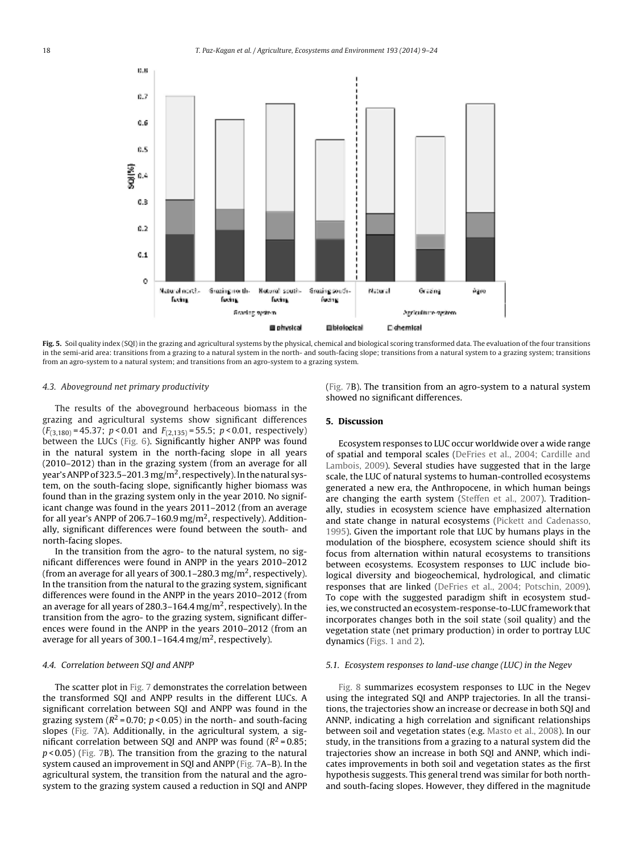<span id="page-9-0"></span>

Fig. 5. Soil quality index (SQI) in the grazing and agricultural systems by the physical, chemical and biological scoring transformed data. The evaluation of the four transitions in the semi-arid area: transitions from a grazing to a natural system in the north- and south-facing slope; transitions from a natural system to a grazing system; transitions from an agro-system to a natural system; and transitions from an agro-system to a grazing system.

#### 4.3. Aboveground net primary productivity

The results of the aboveground herbaceous biomass in the grazing and agricultural systems show significant differences  $(F_{(3,180)} = 45.37; p < 0.01$  and  $F_{(2,135)} = 55.5; p < 0.01$ , respectively) between the LUCs ([Fig.](#page-10-0) 6). Significantly higher ANPP was found in the natural system in the north-facing slope in all years (2010–2012) than in the grazing system (from an average for all year's ANPP of 323.5–201.3 mg/m<sup>2</sup>, respectively). In the natural system, on the south-facing slope, significantly higher biomass was found than in the grazing system only in the year 2010. No significant change was found in the years 2011–2012 (from an average for all year's ANPP of 206.7–160.9 mg/m<sup>2</sup>, respectively). Additionally, significant differences were found between the south- and north-facing slopes.

In the transition from the agro- to the natural system, no significant differences were found in ANPP in the years 2010–2012 (from an average for all years of 300.1–280.3 mg/m<sup>2</sup>, respectively). In the transition from the natural to the grazing system, significant differences were found in the ANPP in the years 2010–2012 (from an average for all years of 280.3-164.4 mg/m<sup>2</sup>, respectively). In the transition from the agro- to the grazing system, significant differences were found in the ANPP in the years 2010–2012 (from an average for all years of 300.1–164.4  $\rm mg/m^2$ , respectively).

## 4.4. Correlation between SQI and ANPP

The scatter plot in [Fig.](#page-11-0) 7 demonstrates the correlation between the transformed SQI and ANPP results in the different LUCs. A significant correlation between SQI and ANPP was found in the grazing system ( $R^2$  = 0.70;  $p < 0.05$ ) in the north- and south-facing slopes ([Fig.](#page-11-0) 7A). Additionally, in the agricultural system, a significant correlation between SQI and ANPP was found ( $R^2$  = 0.85;  $p$  < 0.05) [\(Fig.](#page-11-0) 7B). The transition from the grazing to the natural system caused an improvement in SQI and ANPP ([Fig.](#page-11-0) 7A–B). In the agricultural system, the transition from the natural and the agrosystem to the grazing system caused a reduction in SQI and ANPP [\(Fig.](#page-11-0) 7B). The transition from an agro-system to a natural system showed no significant differences.

#### 5. Discussion

Ecosystem responses to LUC occur worldwide over a wide range of spatial and temporal scales ([DeFries](#page-13-0) et [al.,](#page-13-0) [2004;](#page-13-0) [Cardille](#page-13-0) [and](#page-13-0) [Lambois,](#page-13-0) [2009\).](#page-13-0) Several studies have suggested that in the large scale, the LUC of natural systems to human-controlled ecosystems generated a new era, the Anthropocene, in which human beings are changing the earth system [\(Steffen](#page-14-0) et [al.,](#page-14-0) [2007\).](#page-14-0) Traditionally, studies in ecosystem science have emphasized alternation and state change in natural ecosystems ([Pickett](#page-14-0) [and](#page-14-0) [Cadenasso,](#page-14-0) [1995\).](#page-14-0) Given the important role that LUC by humans plays in the modulation of the biosphere, ecosystem science should shift its focus from alternation within natural ecosystems to transitions between ecosystems. Ecosystem responses to LUC include biological diversity and biogeochemical, hydrological, and climatic responses that are linked ([DeFries](#page-13-0) et [al.,](#page-13-0) [2004;](#page-13-0) [Potschin,](#page-13-0) [2009\).](#page-13-0) To cope with the suggested paradigm shift in ecosystem studies, we constructed an ecosystem-response-to-LUC framework that incorporates changes both in the soil state (soil quality) and the vegetation state (net primary production) in order to portray LUC dynamics [\(Figs.](#page-2-0) 1 and 2).

#### 5.1. Ecosystem responses to land-use change (LUC) in the Negev

[Fig.](#page-11-0) 8 summarizes ecosystem responses to LUC in the Negev using the integrated SQI and ANPP trajectories. In all the transitions, the trajectories show an increase or decrease in both SQI and ANNP, indicating a high correlation and significant relationships between soil and vegetation states (e.g. [Masto](#page-14-0) et [al.,](#page-14-0) [2008\).](#page-14-0) In our study, in the transitions from a grazing to a natural system did the trajectories show an increase in both SQI and ANNP, which indicates improvements in both soil and vegetation states as the first hypothesis suggests. This general trend was similar for both northand south-facing slopes. However, they differed in the magnitude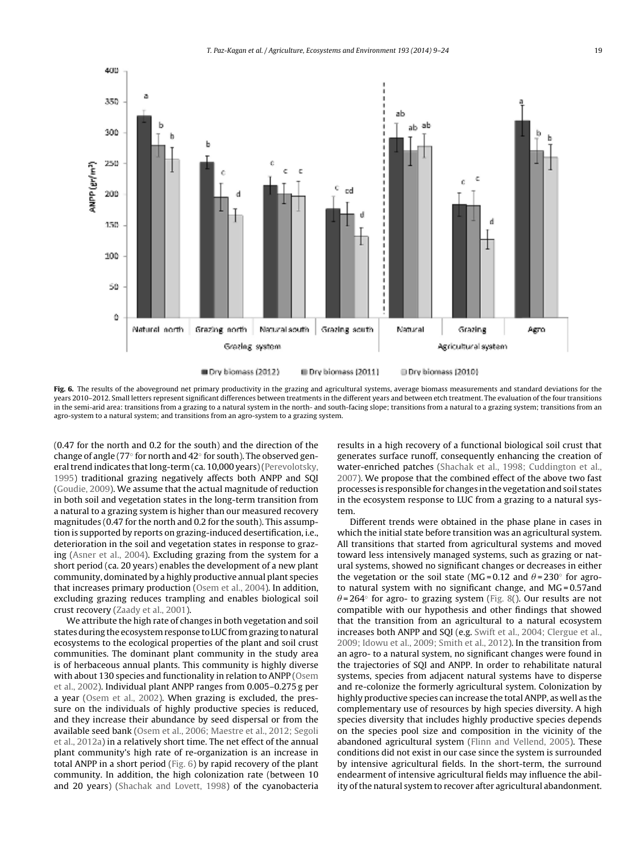<span id="page-10-0"></span>

Fig. 6. The results of the aboveground net primary productivity in the grazing and agricultural systems, average biomass measurements and standard deviations for the years 2010–2012. Small letters represent significant differences between treatments in the different years and between etch treatment. The evaluation of the four transitions in the semi-arid area: transitions from a grazing to a natural system in the north- and south-facing slope; transitions from a natural to a grazing system; transitions from an agro-system to a natural system; and transitions from an agro-system to a grazing system.

(0.47 for the north and 0.2 for the south) and the direction of the change of angle (77◦ for north and 42◦ for south). The observed gen-eral trend indicates that long-term (ca. 10,000 years) [\(Perevolotsky,](#page-14-0) [1995\)](#page-14-0) traditional grazing negatively affects both ANPP and SQI ([Goudie,](#page-13-0) [2009\).](#page-13-0) We assume that the actual magnitude of reduction in both soil and vegetation states in the long-term transition from a natural to a grazing system is higher than our measured recovery magnitudes (0.47 for the north and 0.2 for the south). This assumption is supported by reports on grazing-induced desertification, i.e., deterioration in the soil and vegetation states in response to grazing ([Asner](#page-13-0) et [al.,](#page-13-0) [2004\).](#page-13-0) Excluding grazing from the system for a short period (ca. 20 years) enables the development of a new plant community, dominated by a highly productive annual plant species that increases primary production [\(Osem](#page-14-0) et [al.,](#page-14-0) [2004\).](#page-14-0) In addition, excluding grazing reduces trampling and enables biological soil crust recovery [\(Zaady](#page-15-0) et [al.,](#page-15-0) [2001\).](#page-15-0)

We attribute the high rate of changes in both vegetation and soil states during the ecosystem response to LUC from grazing to natural ecosystems to the ecological properties of the plant and soil crust communities. The dominant plant community in the study area is of herbaceous annual plants. This community is highly diverse with about 130 species and functionality in relation to ANPP ([Osem](#page-14-0) et [al.,](#page-14-0) [2002\).](#page-14-0) Individual plant ANPP ranges from 0.005–0.275 g per a year [\(Osem](#page-14-0) et [al.,](#page-14-0) [2002\).](#page-14-0) When grazing is excluded, the pressure on the individuals of highly productive species is reduced, and they increase their abundance by seed dispersal or from the available seed bank [\(Osem](#page-14-0) et [al.,](#page-14-0) [2006;](#page-14-0) [Maestre](#page-14-0) et [al.,](#page-14-0) [2012;](#page-14-0) [Segoli](#page-14-0) et [al.,](#page-14-0) [2012a\)](#page-14-0) in a relatively short time. The net effect of the annual plant community's high rate of re-organization is an increase in total ANPP in a short period (Fig. 6) by rapid recovery of the plant community. In addition, the high colonization rate (between 10 and 20 years) [\(Shachak](#page-14-0) [and](#page-14-0) [Lovett,](#page-14-0) [1998\)](#page-14-0) of the cyanobacteria

results in a high recovery of a functional biological soil crust that generates surface runoff, consequently enhancing the creation of water-enriched patches [\(Shachak](#page-14-0) et [al.,](#page-14-0) [1998;](#page-14-0) [Cuddington](#page-14-0) et [al.,](#page-14-0) [2007\).](#page-14-0) We propose that the combined effect of the above two fast processes is responsible for changes in the vegetation and soil states in the ecosystem response to LUC from a grazing to a natural system.

Different trends were obtained in the phase plane in cases in which the initial state before transition was an agricultural system. All transitions that started from agricultural systems and moved toward less intensively managed systems, such as grazing or natural systems, showed no significant changes or decreases in either the vegetation or the soil state (MG=0.12 and  $\theta$ =230° for agroto natural system with no significant change, and MG = 0.57and  $\theta$  = 264° for agro- to grazing system ([Fig.](#page-11-0) 8(). Our results are not compatible with our hypothesis and other findings that showed that the transition from an agricultural to a natural ecosystem increases both ANPP and SQI (e.g. [Swift](#page-14-0) et [al.,](#page-14-0) [2004;](#page-14-0) [Clergue](#page-14-0) et [al.,](#page-14-0) [2009;](#page-14-0) [Idowu](#page-14-0) et [al.,](#page-14-0) [2009;](#page-14-0) [Smith](#page-14-0) et [al.,](#page-14-0) [2012\).](#page-14-0) In the transition from an agro- to a natural system, no significant changes were found in the trajectories of SQI and ANPP. In order to rehabilitate natural systems, species from adjacent natural systems have to disperse and re-colonize the formerly agricultural system. Colonization by highly productive species can increase the total ANPP, as well as the complementary use of resources by high species diversity. A high species diversity that includes highly productive species depends on the species pool size and composition in the vicinity of the abandoned agricultural system [\(Flinn](#page-13-0) [and](#page-13-0) [Vellend,](#page-13-0) [2005\).](#page-13-0) These conditions did not exist in our case since the system is surrounded by intensive agricultural fields. In the short-term, the surround endearment of intensive agricultural fields may influence the ability of the natural system to recover after agricultural abandonment.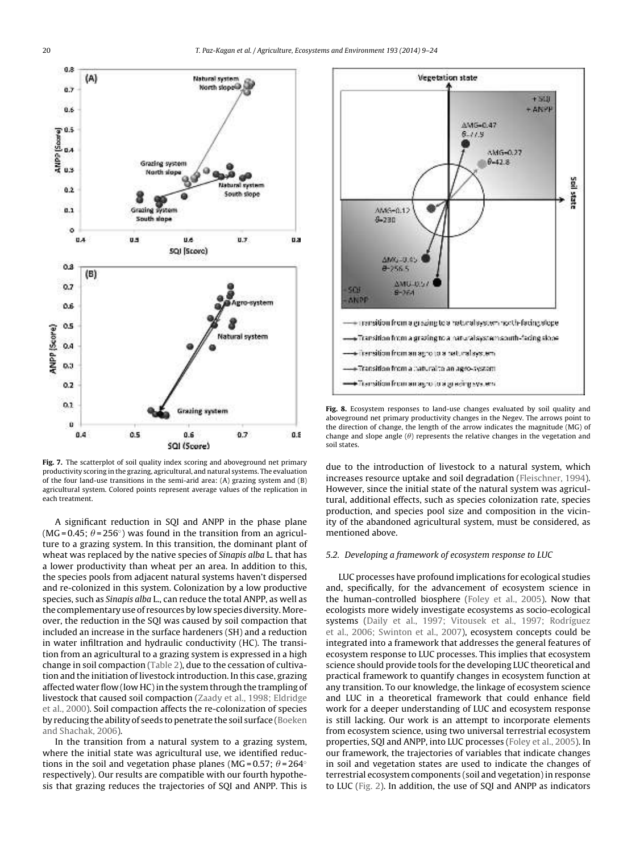<span id="page-11-0"></span>

Fig. 7. The scatterplot of soil quality index scoring and aboveground net primary productivity scoring in the grazing, agricultural, and natural systems. The evaluation of the four land-use transitions in the semi-arid area: (A) grazing system and (B) agricultural system. Colored points represent average values of the replication in each treatment.

A significant reduction in SQI and ANPP in the phase plane (MG = 0.45;  $\theta$  = 256 $\circ$ ) was found in the transition from an agriculture to a grazing system. In this transition, the dominant plant of wheat was replaced by the native species of Sinapis alba L. that has a lower productivity than wheat per an area. In addition to this, the species pools from adjacent natural systems haven't dispersed and re-colonized in this system. Colonization by a low productive species, such as Sinapis alba L., can reduce the total ANPP, as well as the complementary use of resources by low species diversity.Moreover, the reduction in the SQI was caused by soil compaction that included an increase in the surface hardeners (SH) and a reduction in water infiltration and hydraulic conductivity (HC). The transition from an agricultural to a grazing system is expressed in a high change in soil compaction ([Table](#page-7-0) 2), due to the cessation of cultivation and the initiation of livestock introduction. In this case, grazing affected water flow (low HC) in the system through the trampling of livestock that caused soil compaction ([Zaady](#page-15-0) et [al.,](#page-15-0) [1998;](#page-15-0) [Eldridge](#page-15-0) et [al.,](#page-15-0) [2000\).](#page-15-0) Soil compaction affects the re-colonization of species by reducing the ability of seeds to penetrate the soil surface [\(Boeken](#page-13-0) [and](#page-13-0) [Shachak,](#page-13-0) [2006\).](#page-13-0)

In the transition from a natural system to a grazing system, where the initial state was agricultural use, we identified reductions in the soil and vegetation phase planes (MG = 0.57;  $\theta$  = 264° respectively). Our results are compatible with our fourth hypothesis that grazing reduces the trajectories of SQI and ANPP. This is



Fig. 8. Ecosystem responses to land-use changes evaluated by soil quality and aboveground net primary productivity changes in the Negev. The arrows point to the direction of change, the length of the arrow indicates the magnitude (MG) of change and slope angle  $(\theta)$  represents the relative changes in the vegetation and soil states.

due to the introduction of livestock to a natural system, which increases resource uptake and soil degradation ([Fleischner,](#page-13-0) [1994\).](#page-13-0) However, since the initial state of the natural system was agricultural, additional effects, such as species colonization rate, species production, and species pool size and composition in the vicinity of the abandoned agricultural system, must be considered, as mentioned above.

#### 5.2. Developing a framework of ecosystem response to LUC

LUC processes have profound implications for ecological studies and, specifically, for the advancement of ecosystem science in the human-controlled biosphere ([Foley](#page-13-0) et [al.,](#page-13-0) [2005\).](#page-13-0) Now that ecologists more widely investigate ecosystems as socio-ecological systems [\(Daily](#page-13-0) et [al.,](#page-13-0) [1997;](#page-13-0) [Vitousek](#page-13-0) et al., 1997; [Rodríguez](#page-13-0) et [al.,](#page-13-0) [2006;](#page-13-0) [Swinton](#page-13-0) et [al.,](#page-13-0) [2007\),](#page-13-0) ecosystem concepts could be integrated into a framework that addresses the general features of ecosystem response to LUC processes. This implies that ecosystem science should provide tools for the developing LUC theoretical and practical framework to quantify changes in ecosystem function at any transition. To our knowledge, the linkage of ecosystem science and LUC in a theoretical framework that could enhance field work for a deeper understanding of LUC and ecosystem response is still lacking. Our work is an attempt to incorporate elements from ecosystem science, using two universal terrestrial ecosystem properties, SQI and ANPP, into LUC processes ([Foley](#page-13-0) et [al.,](#page-13-0) [2005\).](#page-13-0) In our framework, the trajectories of variables that indicate changes in soil and vegetation states are used to indicate the changes of terrestrial ecosystem components (soil and vegetation) in response to LUC ([Fig.](#page-2-0) 2). In addition, the use of SQI and ANPP as indicators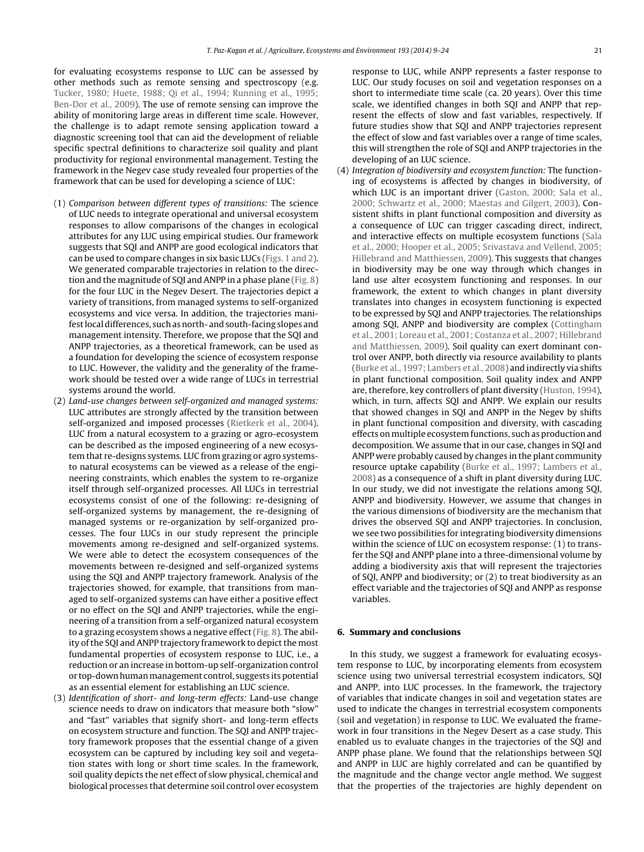for evaluating ecosystems response to LUC can be assessed by other methods such as remote sensing and spectroscopy (e.g. [Tucker,](#page-14-0) [1980;](#page-14-0) [Huete,](#page-14-0) [1988;](#page-14-0) [Qi](#page-14-0) et [al.,](#page-14-0) [1994;](#page-14-0) [Running](#page-14-0) et [al.,](#page-14-0) [1995;](#page-14-0) [Ben-Dor](#page-14-0) et [al.,](#page-14-0) [2009\).](#page-14-0) The use of remote sensing can improve the ability of monitoring large areas in different time scale. However, the challenge is to adapt remote sensing application toward a diagnostic screening tool that can aid the development of reliable specific spectral definitions to characterize soil quality and plant productivity for regional environmental management. Testing the framework in the Negev case study revealed four properties of the framework that can be used for developing a science of LUC:

- (1) Comparison between different types of transitions: The science of LUC needs to integrate operational and universal ecosystem responses to allow comparisons of the changes in ecological attributes for any LUC using empirical studies. Our framework suggests that SQI and ANPP are good ecological indicators that can be used to compare changes in six basic LUCs [\(Figs.](#page-2-0) 1 and 2). We generated comparable trajectories in relation to the direction and the magnitude of SQI and ANPP in a phase plane ([Fig.](#page-11-0) 8) for the four LUC in the Negev Desert. The trajectories depict a variety of transitions, from managed systems to self-organized ecosystems and vice versa. In addition, the trajectories manifest local differences, such as north- and south-facing slopes and management intensity. Therefore, we propose that the SQI and ANPP trajectories, as a theoretical framework, can be used as a foundation for developing the science of ecosystem response to LUC. However, the validity and the generality of the framework should be tested over a wide range of LUCs in terrestrial systems around the world.
- (2) Land-use changes between self-organized and managed systems: LUC attributes are strongly affected by the transition between self-organized and imposed processes ([Rietkerk](#page-14-0) et [al.,](#page-14-0) [2004\).](#page-14-0) LUC from a natural ecosystem to a grazing or agro-ecosystem can be described as the imposed engineering of a new ecosystem that re-designs systems. LUC from grazing or agro systemsto natural ecosystems can be viewed as a release of the engineering constraints, which enables the system to re-organize itself through self-organized processes. All LUCs in terrestrial ecosystems consist of one of the following: re-designing of self-organized systems by management, the re-designing of managed systems or re-organization by self-organized processes. The four LUCs in our study represent the principle movements among re-designed and self-organized systems. We were able to detect the ecosystem consequences of the movements between re-designed and self-organized systems using the SQI and ANPP trajectory framework. Analysis of the trajectories showed, for example, that transitions from managed to self-organized systems can have either a positive effect or no effect on the SQI and ANPP trajectories, while the engineering of a transition from a self-organized natural ecosystem to a grazing ecosystem shows a negative effect[\(Fig.](#page-11-0) 8). The ability of the SQI and ANPP trajectory framework to depict the most fundamental properties of ecosystem response to LUC, i.e., a reduction or an increase in bottom-up self-organization control or top-down human management control, suggests its potential as an essential element for establishing an LUC science.
- (3) Identification of short- and long-term effects: Land-use change science needs to draw on indicators that measure both "slow" and "fast" variables that signify short- and long-term effects on ecosystem structure and function. The SQI and ANPP trajectory framework proposes that the essential change of a given ecosystem can be captured by including key soil and vegetation states with long or short time scales. In the framework, soil quality depicts the net effect of slow physical, chemical and biological processes that determine soil control over ecosystem

response to LUC, while ANPP represents a faster response to LUC. Our study focuses on soil and vegetation responses on a short to intermediate time scale (ca. 20 years). Over this time scale, we identified changes in both SQI and ANPP that represent the effects of slow and fast variables, respectively. If future studies show that SQI and ANPP trajectories represent the effect of slow and fast variables over a range of time scales, this will strengthen the role of SQI and ANPP trajectories in the developing of an LUC science.

(4) Integration of biodiversity and ecosystem function: The functioning of ecosystems is affected by changes in biodiversity, of which LUC is an important driver ([Gaston,](#page-13-0) [2000;](#page-13-0) [Sala](#page-13-0) et [al.,](#page-13-0) [2000;](#page-13-0) [Schwartz](#page-13-0) et [al.,](#page-13-0) [2000;](#page-13-0) [Maestas](#page-13-0) [and](#page-13-0) [Gilgert,](#page-13-0) [2003\).](#page-13-0) Consistent shifts in plant functional composition and diversity as a consequence of LUC can trigger cascading direct, indirect, and interactive effects on multiple ecosystem functions [\(Sala](#page-14-0) et [al.,](#page-14-0) [2000;](#page-14-0) [Hooper](#page-14-0) et [al.,](#page-14-0) [2005;](#page-14-0) [Srivastava](#page-14-0) [and](#page-14-0) [Vellend,](#page-14-0) [2005;](#page-14-0) [Hillebrand](#page-14-0) [and](#page-14-0) [Matthiessen,](#page-14-0) [2009\).](#page-14-0) This suggests that changes in biodiversity may be one way through which changes in land use alter ecosystem functioning and responses. In our framework, the extent to which changes in plant diversity translates into changes in ecosystem functioning is expected to be expressed by SQI and ANPP trajectories. The relationships among SQI, ANPP and biodiversity are complex ([Cottingham](#page-13-0) et [al.,](#page-13-0) [2001;](#page-13-0) [Loreau](#page-13-0) et [al.,](#page-13-0) [2001;](#page-13-0) [Costanza](#page-13-0) et [al.,](#page-13-0) [2007;](#page-13-0) [Hillebrand](#page-13-0) [and](#page-13-0) [Matthiessen,](#page-13-0) [2009\).](#page-13-0) Soil quality can exert dominant control over ANPP, both directly via resource availability to plants ([Burke](#page-13-0) et [al.,](#page-13-0) [1997;](#page-13-0) [Lambers](#page-13-0) et [al.,](#page-13-0) [2008\)](#page-13-0) and indirectly via shifts in plant functional composition. Soil quality index and ANPP are, therefore, key controllers of plant diversity [\(Huston,](#page-14-0) [1994\),](#page-14-0) which, in turn, affects SQI and ANPP. We explain our results that showed changes in SQI and ANPP in the Negev by shifts in plant functional composition and diversity, with cascading effects on multiple ecosystem functions, such as production and decomposition. We assume that in our case, changes in SQI and ANPP were probably caused by changes in the plant community resource uptake capability [\(Burke](#page-13-0) et [al.,](#page-13-0) [1997;](#page-13-0) [Lambers](#page-13-0) et [al.,](#page-13-0) [2008\)](#page-13-0) as a consequence of a shift in plant diversity during LUC. In our study, we did not investigate the relations among SQI, ANPP and biodiversity. However, we assume that changes in the various dimensions of biodiversity are the mechanism that drives the observed SQI and ANPP trajectories. In conclusion, we see two possibilities for integrating biodiversity dimensions within the science of LUC on ecosystem response: (1) to transfer the SQI and ANPP plane into a three-dimensional volume by adding a biodiversity axis that will represent the trajectories of SQI, ANPP and biodiversity; or (2) to treat biodiversity as an effect variable and the trajectories of SQI and ANPP as response variables.

## 6. Summary and conclusions

In this study, we suggest a framework for evaluating ecosystem response to LUC, by incorporating elements from ecosystem science using two universal terrestrial ecosystem indicators, SQI and ANPP, into LUC processes. In the framework, the trajectory of variables that indicate changes in soil and vegetation states are used to indicate the changes in terrestrial ecosystem components (soil and vegetation) in response to LUC. We evaluated the framework in four transitions in the Negev Desert as a case study. This enabled us to evaluate changes in the trajectories of the SQI and ANPP phase plane. We found that the relationships between SQI and ANPP in LUC are highly correlated and can be quantified by the magnitude and the change vector angle method. We suggest that the properties of the trajectories are highly dependent on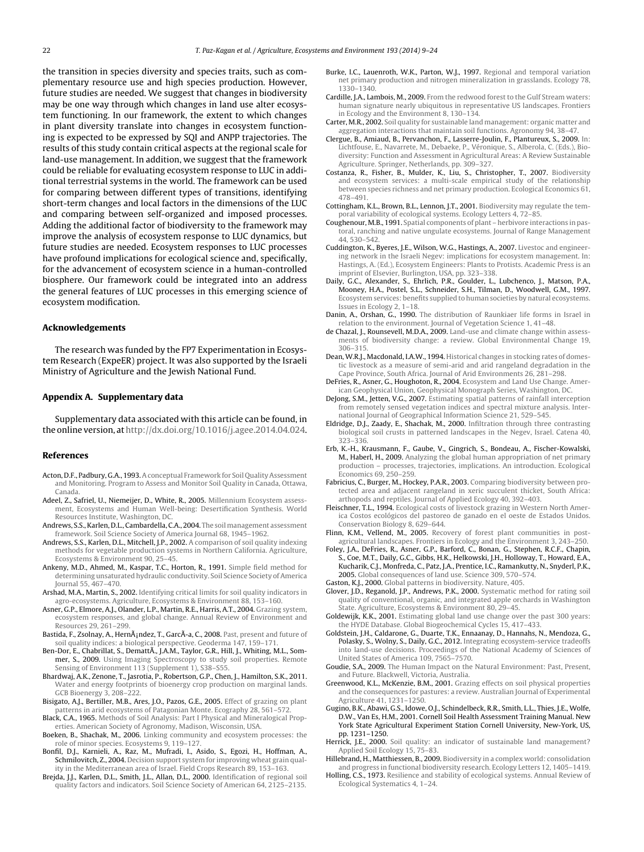<span id="page-13-0"></span>the transition in species diversity and species traits, such as complementary resource use and high species production. However, future studies are needed. We suggest that changes in biodiversity may be one way through which changes in land use alter ecosystem functioning. In our framework, the extent to which changes in plant diversity translate into changes in ecosystem functioning is expected to be expressed by SQI and ANPP trajectories. The results of this study contain critical aspects at the regional scale for land-use management. In addition, we suggest that the framework could be reliable for evaluating ecosystem response to LUC in additional terrestrial systems in the world. The framework can be used for comparing between different types of transitions, identifying short-term changes and local factors in the dimensions of the LUC and comparing between self-organized and imposed processes. Adding the additional factor of biodiversity to the framework may improve the analysis of ecosystem response to LUC dynamics, but future studies are needed. Ecosystem responses to LUC processes have profound implications for ecological science and, specifically, for the advancement of ecosystem science in a human-controlled biosphere. Our framework could be integrated into an address the general features of LUC processes in this emerging science of ecosystem modification.

## Acknowledgements

The research was funded by the FP7 Experimentation in Ecosystem Research (ExpeER) project. It was also supported by the Israeli Ministry of Agriculture and the Jewish National Fund.

## Appendix A. Supplementary data

Supplementary data associated with this article can be found, in the online version, at [http://dx.doi.org/10.1016/j.agee.2014.04.024.](http://dx.doi.org/10.1016/j.agee.2014.04.024)

#### References

- Acton, D.F., Padbury, G.A., 1993. A conceptual Framework for Soil Quality Assessment and Monitoring. Program to Assess and Monitor Soil Quality in Canada, Ottawa, Canada.
- Adeel, Z., Safriel, U., Niemeijer, D., White, R., 2005. Millennium Ecosystem assessment, Ecosystems and Human Well-being: Desertification Synthesis. World Resources Institute, Washington, DC.
- Andrews, S.S., Karlen, D.L., Cambardella, C.A., 2004. The soil management assessment framework. Soil Science Society of America Journal 68, 1945–1962.
- Andrews, S.S., Karlen, D.L., Mitchell, J.P., 2002. A comparison of soil quality indexing methods for vegetable production systems in Northern California. Agriculture, Ecosystems & Environment 90, 25–45.
- Ankeny, M.D., Ahmed, M., Kaspar, T.C., Horton, R., 1991. Simple field method for determining unsaturated hydraulic conductivity. Soil Science Society of America Journal 55, 467–470.
- Arshad, M.A., Martin, S., 2002. Identifying critical limits for soil quality indicators in agro-ecosystems. Agriculture, Ecosystems & Environment 88, 153–160.
- Asner, G.P., Elmore, A.J., Olander, L.P., Martin, R.E., Harris, A.T., 2004. Grazing system, ecosystem responses, and global change. Annual Review of Environment and Resources 29, 261–299.
- Bastida, F., Zsolnay, A., Hernández, T., GarcÃ-a, C., 2008. Past, present and future of soil quality indices: a biological perspective. Geoderma 147, 159–171.
- Ben-Dor, E., Chabrillat, S., DemattÃ., J.A.M., Taylor, G.R., Hill, J., Whiting, M.L., Sommer, S., 2009. Using Imaging Spectroscopy to study soil properties. Remote Sensing of Environment 113 (Supplement 1), S38-S55.
- Bhardwaj, A.K., Zenone, T., Jasrotia, P., Robertson, G.P., Chen, J., Hamilton, S.K., 2011. Water and energy footprints of bioenergy crop production on marginal lands. GCB Bioenergy 3, 208–222.
- Bisigato, A.J., Bertiller, M.B., Ares, J.O., Pazos, G.E., 2005. Effect of grazing on plant patterns in arid ecosystems of Patagonian Monte. Ecography 28, 561–572.
- Black, C.A., 1965. Methods of Soil Analysis: Part I Physical and Mineralogical Properties. American Society of Agronomy, Madison, Wisconsin, USA.
- Boeken, B., Shachak, M., 2006. Linking community and ecosystem processes: the role of minor species. Ecosystems 9, 119–127.
- Bonfil, D.J., Karnieli, A., Raz, M., Mufradi, I., Asido, S., Egozi, H., Hoffman, A., Schmilovitch, Z., 2004. Decision support system for improving wheat grain quality in the Mediterranean area of Israel. Field Crops Research 89, 153–163.
- Brejda, J.J., Karlen, D.L., Smith, J.L., Allan, D.L., 2000. Identification of regional soil quality factors and indicators. Soil Science Society of American 64, 2125–2135.
- Burke, I.C., Lauenroth, W.K., Parton, W.J., 1997. Regional and temporal variation net primary production and nitrogen mineralization in grasslands. Ecology 78, 1330–1340.
- Cardille, J.A., Lambois, M., 2009. From the redwood forest to the Gulf Stream waters: human signature nearly ubiquitous in representative US landscapes. Frontiers in Ecology and the Environment 8, 130–134.
- Carter, M.R., 2002. Soil quality for sustainable land management: organic matter and aggregation interactions that maintain soil functions. Agronomy 94, 38–47.
- Clergue, B., Amiaud, B., Pervanchon, F., Lasserre-Joulin, F., Plantureux, S., 2009. In: Lichtfouse, E., Navarrete, M., Debaeke, P., Véronique, S., Alberola, C. (Eds.), Biodiversity: Function and Assessment in Agricultural Areas: A Review Sustainable Agriculture. Springer, Netherlands, pp. 309–327.
- Costanza, R., Fisher, B., Mulder, K., Liu, S., Christopher, T., 2007. Biodiversity and ecosystem services: a multi-scale empirical study of the relationship between species richness and net primary production. Ecological Economics 61, 478–491.
- Cottingham, K.L., Brown, B.L., Lennon, J.T., 2001. Biodiversity may regulate the temporal variability of ecological systems. Ecology Letters 4, 72–85.
- Coughenour, M.B., 1991. Spatial components of plant herbivore interactions in pastoral, ranching and native ungulate ecosystems. Journal of Range Management 44, 530–542.
- Cuddington, K., Byeres, J.E., Wilson, W.G., Hastings, A., 2007. Livestoc and engineering network in the Israeli Negev: implications for ecosystem management. In: Hastings, A. (Ed.), Ecosystem Engineers: Plants to Protists. Academic Press is an imprint of Elsevier, Burlington, USA, pp. 323–338.
- Daily, G.C., Alexander, S., Ehrlich, P.R., Goulder, L., Lubchenco, J., Matson, P.A., Mooney, H.A., Postel, S.L., Schneider, S.H., Tilman, D., Woodwell, G.M., 1997. Ecosystem services: benefits supplied to human societies by natural ecosystems. Issues in Ecology 2, 1–18.
- Danin, A., Orshan, G., 1990. The distribution of Raunkiaer life forms in Israel in relation to the environment. Journal of Vegetation Science 1, 41–48.
- de Chazal, J., Rounsevell, M.D.A., 2009. Land-use and climate change within assessments of biodiversity change: a review. Global Environmental Change 19, 306–315.
- Dean, W.R.J., Macdonald, I.A.W., 1994. Historical changes in stocking rates of domestic livestock as a measure of semi-arid and arid rangeland degradation in the Cape Province, South Africa. Journal of Arid Environments 26, 281–298.
- DeFries, R., Asner, G., Houghoton, R., 2004. Ecosystem and Land Use Change. American Geophysical Union, Geophysical Monograph Series, Washington, DC.
- DeJong, S.M., Jetten, V.G., 2007. Estimating spatial patterns of rainfall interception from remotely sensed vegetation indices and spectral mixture analysis. International Journal of Geographical Information Science 21, 529–545.
- Eldridge, D.J., Zaady, E., Shachak, M., 2000. Infiltration through three contrasting biological soil crusts in patterned landscapes in the Negev, Israel. Catena 40, 323–336.
- Erb, K.-H., Krausmann, F., Gaube, V., Gingrich, S., Bondeau, A., Fischer-Kowalski, M., Haberl, H., 2009. Analyzing the global human appropriation of net primary production – processes, trajectories, implications. An introduction. Ecological Economics 69, 250–259.
- Fabricius, C., Burger, M., Hockey, P.A.R., 2003. Comparing biodiversity between protected area and adjacent rangeland in xeric succulent thicket, South Africa: arthopods and reptiles. Journal of Applied Ecology 40, 392–403.
- Fleischner, T.L., 1994. Ecological costs of livestock grazing in Western North America Costos ecológicos del pastoreo de ganado en el oeste de Estados Unidos. Conservation Biology 8, 629–644.
- Flinn, K.M., Vellend, M., 2005. Recovery of forest plant communities in postagricultural landscapes. Frontiers in Ecology and the Environment 3, 243–250.
- Foley, J.A., DeFries, R., Asner, G.P., Barford, C., Bonan, G., Stephen, R.C.F., Chapin, S., Coe, M.T., Daily, G.C., Gibbs, H.K., Helkowski, J.H., Holloway, T., Howard, E.A., Kucharik, C.J., Monfreda, C., Patz, J.A., Prentice, I.C., Ramankutty, N., Snyderl, P.K., 2005. Global consequences of land use. Science 309, 570–574.
- Gaston, K.J., 2000. Global patterns in biodiversity. Nature, 405.
- Glover, J.D., Reganold, J.P., Andrews, P.K., 2000. Systematic method for rating soil quality of conventional, organic, and integrated apple orchards in Washington State. Agriculture, Ecosystems & Environment 80, 29–45.
- Goldewijk, K.K., 2001. Estimating global land use change over the past 300 years: the HYDE Database. Global Biogeochemical Cycles 15, 417–433.
- Goldstein, J.H., Caldarone, G., Duarte, T.K., Ennaanay, D., Hannahs, N., Mendoza, G., Polasky, S., Wolny, S., Daily, G.C., 2012. Integrating ecosystem-service tradeoffs into land-use decisions. Proceedings of the National Academy of Sciences of United States of America 109, 7565–7570.
- Goudie, S.A., 2009. The Human Impact on the Natural Environment: Past, Present, and Future. Blackwell, Victoria, Australia.
- Greenwood, K.L., McKenzie, B.M., 2001. Grazing effects on soil physical properties and the consequences for pastures: a review. Australian Journal of Experimental Agriculture 41, 1231–1250.
- Gugino, B.K., Abawi, G.S., Idowe, O.J., Schindelbeck, R.R., Smith, L.L., Thies, J.E., Wolfe, D.W., Van Es, H.M., 2001. Cornell Soil Health Assessment Training Manual. New York State Agricultural Experiment Station Cornell University, New-York, US, pp. 1231–1250.
- Herrick, J.E., 2000. Soil quality: an indicator of sustainable land management? Applied Soil Ecology 15, 75–83.
- Hillebrand, H., Matthiessen, B., 2009. Biodiversity in a complex world: consolidation and progress in functional biodiversity research. Ecology Letters 12, 1405–1419.
- Holling, C.S., 1973. Resilience and stability of ecological systems. Annual Review of Ecological Systematics 4, 1–24.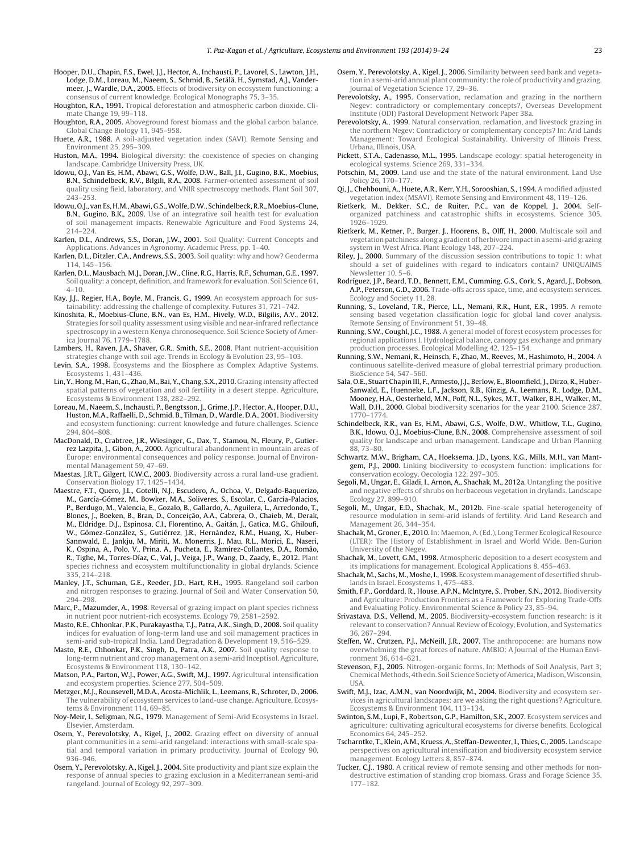- <span id="page-14-0"></span>Hooper, D.U., Chapin, F.S., Ewel, J.J., Hector, A., Inchausti, P., Lavorel, S., Lawton, J.H., Lodge, D.M., Loreau, M., Naeem, S., Schmid, B., Setälä, H., Symstad, A.J., Vandermeer, J., Wardle, D.A., 2005. Effects of biodiversity on ecosystem functioning: a consensus of current knowledge. Ecological Monographs 75, 3–35.
- Houghton, R.A., 1991. Tropical deforestation and atmospheric carbon dioxide. Climate Change 19, 99–118.
- Houghton, R.A., 2005. Aboveground forest biomass and the global carbon balance. Global Change Biology 11, 945–958.
- Huete, A.R., 1988. A soil-adjusted vegetation index (SAVI). Remote Sensing and Environment 25, 295–309.
- Huston, M.A., 1994. Biological diversity: the coexistence of species on changing landscape. Cambridge University Press, UK.
- Idowu, O.J., Van Es, H.M., Abawi, G.S., Wolfe, D.W., Ball, J.I., Gugino, B.K., Moebius, B.N., Schindelbeck, R.V., Bilgili, R.A., 2008. Farmer-oriented assessment of soil quality using field, laboratory, and VNIR spectroscopy methods. Plant Soil 307, 243–253.
- Idowu, O.J., van Es, H.M., Abawi, G.S., Wolfe, D.W., Schindelbeck, R.R., Moebius-Clune, B.N., Gugino, B.K., 2009. Use of an integrative soil health test for evaluation of soil management impacts. Renewable Agriculture and Food Systems 24, 214–224.
- Karlen, D.L., Andrews, S.S., Doran, J.W., 2001. Soil Quality: Current Concepts and Applications. Advances in Agronomy. Academic Press, pp. 1–40.
- Karlen, D.L., Ditzler, C.A., Andrews, S.S., 2003. Soil quality: why and how? Geoderma 114, 145–156.
- Karlen, D.L., Mausbach, M.J., Doran, J.W., Cline, R.G., Harris, R.F., Schuman, G.E., 1997. Soil quality: a concept, definition, and framework for evaluation. Soil Science 61, 4–10.
- Kay, J.J., Regier, H.A., Boyle, M., Francis, G., 1999. An ecosystem approach for sustainability: addressing the challenge of complexity. Futures 31, 721–742.
- Kinoshita, R., Moebius-Clune, B.N., van Es, H.M., Hively, W.D., Bilgilis, A.V., 2012. Strategies for soil quality assessment using visible and near-infrared reflectance spectroscopy in a western Kenya chronosequence. Soil Science Society of America Journal 76, 1779–1788.
- Lambers, H., Raven, J.A., Shaver, G.R., Smith, S.E., 2008. Plant nutrient-acquisition strategies change with soil age. Trends in Ecology & Evolution 23, 95–103.
- Levin, S.A., 1998. Ecosystems and the Biosphere as Complex Adaptive Systems. Ecosystems 1, 431–436.
- Lin,Y., Hong,M., Han, G., Zhao,M., Bai,Y., Chang, S.X., 2010. Grazing intensity affected spatial patterns of vegetation and soil fertility in a desert steppe. Agriculture, Ecosystems & Environment 138, 282–292.
- Loreau, M., Naeem, S., Inchausti, P., Bengtsson, J., Grime, J.P., Hector, A., Hooper, D.U., Huston, M.A., Raffaelli, D., Schmid, B., Tilman, D., Wardle, D.A., 2001. Biodiversity and ecosystem functioning: current knowledge and future challenges. Science 294, 804–808.
- MacDonald, D., Crabtree, J.R., Wiesinger, G., Dax, T., Stamou, N., Fleury, P., Gutierrez Lazpita, J., Gibon, A., 2000. Agricultural abandonment in mountain areas of Europe: environmental consequences and policy response. Journal of Environmental Management 59, 47–69.
- Maestas, J.R.T., Gilgert, K.W.C., 2003. Biodiversity across a rural land-use gradient. Conservation Biology 17, 1425–1434.
- Maestre, F.T., Quero, J.L., Gotelli, N.J., Escudero, A., Ochoa, V., Delgado-Baquerizo, M., García-Gómez, M., Bowker, M.A., Soliveres, S., Escolar, C., García-Palacios, P., Berdugo, M., Valencia, E., Gozalo, B., Gallardo, A., Aguilera, L., Arredondo, T., Blones, J., Boeken, B., Bran, D., Conceição, A.A., Cabrera, O., Chaieb, M., Derak, M., Eldridge, D.J., Espinosa, C.I., Florentino, A., Gaitán, J., Gatica, M.G., Ghiloufi, W., Gómez-González, S., Gutiérrez, J.R., Hernández, R.M., Huang, X., Huber-Sannwald, E., Jankju, M., Miriti, M., Monerris, J., Mau, R.L., Morici, E., Naseri, K., Ospina, A., Polo, V., Prina, A., Pucheta, E., Ramírez-Collantes, D.A., Romão, R., Tighe, M., Torres-Díaz, C., Val, J., Veiga, J.P., Wang, D., Zaady, E., 2012. Plant species richness and ecosystem multifunctionality in global drylands. Science 335, 214–218.
- Manley, J.T., Schuman, G.E., Reeder, J.D., Hart, R.H., 1995. Rangeland soil carbon and nitrogen responses to grazing. Journal of Soil and Water Conservation 50, 294–298.
- Marc, P., Mazumder, A., 1998. Reversal of grazing impact on plant species richness in nutrient poor nutrient-rich ecosystems. Ecology 79, 2581–2592.
- Masto, R.E., Chhonkar, P.K., Purakayastha, T.J., Patra, A.K., Singh, D., 2008. Soil quality indices for evaluation of long-term land use and soil management practices in semi-arid sub-tropical India. Land Degradation & Development 19, 516–529.
- Masto, R.E., Chhonkar, P.K., Singh, D., Patra, A.K., 2007. Soil quality response to long-term nutrient and crop management on a semi-arid Inceptisol. Agriculture, Ecosystems & Environment 118, 130–142.
- Matson, P.A., Parton, W.J., Power, A.G., Swift, M.J., 1997. Agricultural intensification and ecosystem properties. Science 277, 504–509.
- Metzger, M.J., Rounsevell, M.D.A., Acosta-Michlik, L., Leemans, R., Schroter, D., 2006. The vulnerability of ecosystem services to land-use change. Agriculture, Ecosystems & Environment 114, 69–85.
- Noy-Meir, I., Seligman, N.G., 1979. Management of Semi-Arid Ecosystems in Israel. Elsevier, Amsterdam.
- Osem, Y., Perevolotsky, A., Kigel, J., 2002. Grazing effect on diversity of annual plant communities in a semi-arid rangeland: interactions with small-scale spatial and temporal variation in primary productivity. Journal of Ecology 90, 936–946.
- Osem, Y., Perevolotsky, A., Kigel, J., 2004. Site productivity and plant size explain the response of annual species to grazing exclusion in a Mediterranean semi-arid rangeland. Journal of Ecology 92, 297–309.
- Osem, Y., Perevolotsky, A., Kigel, J., 2006. Similarity between seed bank and vegetation in a semi-arid annual plant community: the role of productivity and grazing. Journal of Vegetation Science 17, 29-36.
- Perevolotsky, A., 1995. Conservation, reclamation and grazing in the northern Negev: contradictory or complementary concepts?, Overseas Development Institute (ODI) Pastoral Development Network Paper 38a.
- Perevolotsky, A., 1999. Natural conservation, reclamation, and livestock grazing in the northern Negev: Contradictory or complementary concepts? In: Arid Lands Management: Toward Ecological Sustainability. University of Illinois Press, Urbana, Illinois, USA.
- Pickett, S.T.A., Cadenasso, M.L., 1995. Landscape ecology: spatial heterogeneity in ecological systems. Science 269, 331–334.
- Potschin, M., 2009. Land use and the state of the natural environment. Land Use Policy 26, 170–177.
- Qi, J., Chehbouni, A., Huete, A.R., Kerr, Y.H., Sorooshian, S., 1994. A modified adjusted vegetation index (MSAVI). Remote Sensing and Environment 48, 119–126.
- Rietkerk, M., Dekker, S.C., de Ruiter, P.C., van de Koppel, J., 2004. Selforganized patchiness and catastrophic shifts in ecosystems. Science 305, 1926–1929.
- Rietkerk, M., Ketner, P., Burger, J., Hoorens, B., Olff, H., 2000. Multiscale soil and vegetation patchiness along a gradient of herbivore impact in a semi-arid grazing system in West Africa. Plant Ecology 148, 207–224.
- Riley, J., 2000. Summary of the discussion session contributions to topic 1: what should a set of guidelines with regard to indicators contain? UNIQUAIMS Newsletter 10, 5–6.
- Rodríguez, J.P., Beard, T.D., Bennett, E.M., Cumming, G.S., Cork, S., Agard, J., Dobson, A.P., Peterson, G.D., 2006. Trade-offs across space, time, and ecosystem services. Ecology and Society 11, 28.
- Running, S., Loveland, T.R., Pierce, L.L., Nemani, R.R., Hunt, E.R., 1995. A remote sensing based vegetation classification logic for global land cover analysis. Remote Sensing of Environment 51, 39–48.
- Running, S.W., Coughl, J.C., 1988. A general model of forest ecosystem processes for regional applications I. Hydrological balance, canopy gas exchange and primary production processes. Ecological Modelling 42, 125–154.
- Running, S.W., Nemani, R., Heinsch, F., Zhao, M., Reeves, M., Hashimoto, H., 2004. A continuous satellite-derived measure of global terrestrial primary production. BioScience 54, 547–560.
- Sala, O.E., Stuart Chapin III, F., Armesto, J.J., Berlow, E., Bloomfield, J., Dirzo, R., Huber-Sanwald, E., Huenneke, L.F., Jackson, R.B., Kinzig, A., Leemans, R., Lodge, D.M., Mooney, H.A., Oesterheld, M.N., Poff, N.L., Sykes, M.T., Walker, B.H., Walker, M., Wall, D.H., 2000. Global biodiversity scenarios for the year 2100. Science 287, 1770–1774.
- Schindelbeck, R.R., van Es, H.M., Abawi, G.S., Wolfe, D.W., Whitlow, T.L., Gugino, B.K., Idowu, O.J., Moebius-Clune, B.N., 2008. Comprehensive assessment of soil quality for landscape and urban management. Landscape and Urban Planning 88, 73–80.
- Schwartz, M.W., Brigham, C.A., Hoeksema, J.D., Lyons, K.G., Mills, M.H., van Mantgem, P.J., 2000. Linking biodiversity to ecosystem function: implications for conservation ecology. Oecologia 122, 297–305.
- Segoli, M., Ungar, E., Giladi, I., Arnon, A., Shachak, M., 2012a. Untangling the positive and negative effects of shrubs on herbaceous vegetation in drylands. Landscape Ecology 27, 899–910.
- Segoli, M., Ungar, E.D., Shachak, M., 2012b. Fine-scale spatial heterogeneity of resource modulation in semi-arid islands of fertility. Arid Land Research and Management 26, 344–354.
- Shachak, M., Groner, E., 2010. In: Maemon, A. (Ed.), Long Termer Ecological Resource (LTER): The History of Establishment in Israel and World Wide. Ben-Gurion University of the Negev.
- Shachak, M., Lovett, G.M., 1998. Atmospheric deposition to a desert ecosystem and its implications for management. Ecological Applications 8, 455–463.
- Shachak, M., Sachs, M., Moshe, I., 1998. Ecosystem management of desertified shrublands in Israel. Ecosystems 1, 475–483.
- Smith, F.P., Gorddard, R., House, A.P.N., McIntyre, S., Prober, S.N., 2012. Biodiversity and Agriculture: Production Frontiers as a Framework for Exploring Trade-Offs and Evaluating Policy. Environmental Science & Policy 23, 85–94.
- Srivastava, D.S., Vellend, M., 2005. Biodiversity-ecosystem function research: is it relevant to conservation? Annual Review of Ecology, Evolution, and Systematics 36, 267–294.
- Steffen, W., Crutzen, P.J., McNeill, J.R., 2007. The anthropocene: are humans now overwhelming the great forces of nature. AMBIO: A Journal of the Human Environment 36, 614–621.
- Stevenson, F.J., 2005. Nitrogen-organic forms. In: Methods of Soil Analysis, Part 3; Chemical Methods, 4th edn. Soil Science Society of America, Madison, Wisconsin, **USA**
- Swift, M.J., Izac, A.M.N., van Noordwijk, M., 2004. Biodiversity and ecosystem services in agricultural landscapes: are we asking the right questions? Agriculture, Ecosystems & Environment 104, 113–134.
- Swinton, S.M., Lupi, F., Robertson, G.P., Hamilton, S.K., 2007. Ecosystem services and agriculture: cultivating agricultural ecosystems for diverse benefits. Ecological Economics 64, 245–252.
- Tscharntke, T., Klein, A.M., Kruess, A., Steffan-Dewenter, I., Thies, C., 2005. Landscape perspectives on agricultural intensification and biodiversity ecosystem service management. Ecology Letters 8, 857–874.
- Tucker, C.J., 1980. A critical review of remote sensing and other methods for nondestructive estimation of standing crop biomass. Grass and Forage Science 35, 177–182.